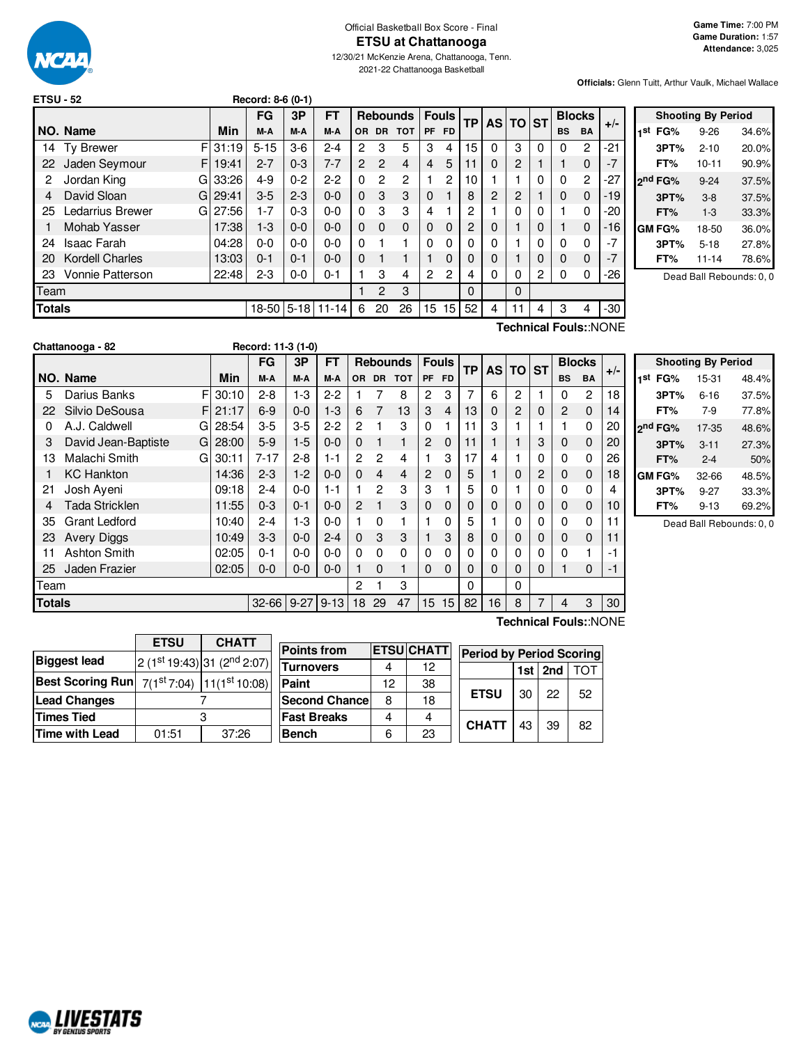

Official Basketball Box Score - Final **ETSU at Chattanooga**

12/30/21 McKenzie Arena, Chattanooga, Tenn. 2021-22 Chattanooga Basketball

**Game Time:** 7:00 PM **Game Duration:** 1:57 **Attendance:** 3,025

**Officials:** Glenn Tuitt, Arthur Vaulk, Michael Wallace

| <b>ETSU - 52</b> |                         |       | Record: 8-6 (0-1) |         |           |           |                |                 |                |                |                |                |          |          |           |               |       |
|------------------|-------------------------|-------|-------------------|---------|-----------|-----------|----------------|-----------------|----------------|----------------|----------------|----------------|----------|----------|-----------|---------------|-------|
|                  |                         |       | FG                | 3P      | <b>FT</b> |           |                | <b>Rebounds</b> |                | <b>Fouls</b>   | <b>TP</b>      |                | AS TO ST |          |           | <b>Blocks</b> |       |
|                  | NO. Name                | Min   | M-A               | M-A     | M-A       | <b>OR</b> | DR.            | <b>TOT</b>      | PF             | <b>FD</b>      |                |                |          |          | <b>BS</b> | <b>BA</b>     | $+/-$ |
| 14               | F<br><b>Ty Brewer</b>   | 31:19 | $5 - 15$          | $3-6$   | $2 - 4$   | 2         | 3              | 5               | 3              | 4              | 15             | $\Omega$       | 3        | $\Omega$ | $\Omega$  | 2             | -21   |
| 22               | Jaden Seymour<br>F      | 19:41 | $2 - 7$           | $0 - 3$ | 7-7       | 2         | $\overline{2}$ | 4               | 4              | 5              | 11             | 0              | 2        |          |           | 0             | -7    |
| 2                | Jordan King<br>G        | 33:26 | $4 - 9$           | $0 - 2$ | $2-2$     | 0         | $\overline{c}$ | 2               |                | $\overline{c}$ | 10             |                |          | $\Omega$ | 0         | 2             | $-27$ |
| 4                | David Sloan<br>G        | 29:41 | $3-5$             | $2 - 3$ | $0 - 0$   | $\Omega$  | 3              | 3               | $\mathbf 0$    |                | 8              | $\overline{2}$ | 2        |          | 0         | $\Omega$      | -19   |
| 25               | Ledarrius Brewer<br>G   | 27:56 | $1 - 7$           | $0 - 3$ | $0 - 0$   | 0         | 3              | 3               | 4              |                | 2              |                | 0        | 0        |           | 0             | -20   |
|                  | Mohab Yasser            | 17:38 | $1 - 3$           | $0 - 0$ | $0 - 0$   | 0         | $\Omega$       | $\Omega$        | $\Omega$       | $\Omega$       | $\overline{2}$ | 0              |          | 0        |           | 0             | -16   |
| 24               | <b>Isaac Farah</b>      | 04:28 | $0 - 0$           | $0 - 0$ | $0 - 0$   | 0         |                | 1               | $\Omega$       | 0              | $\Omega$       | 0              |          | 0        | 0         | 0             | $-7$  |
| 20               | <b>Kordell Charles</b>  | 13:03 | $0 - 1$           | $0 - 1$ | $0 - 0$   | $\Omega$  |                | 1               |                | 0              | 0              | 0              |          | 0        | $\Omega$  | $\Omega$      | $-7$  |
| 23               | <b>Vonnie Patterson</b> | 22:48 | 2-3               | $0-0$   | $0 - 1$   |           | 3              | 4               | $\overline{2}$ | $\overline{2}$ | 4              | 0              | 0        | 2        | 0         | 0             | $-26$ |
| Team             |                         |       |                   |         |           |           | 2              | 3               |                |                | $\Omega$       |                | $\Omega$ |          |           |               |       |
| <b>Totals</b>    |                         |       | $18-50$ 5-18      |         | 11-14     | 6         | 20             | 26              | 15             | 15             | 52             | 4              | 11       | 4        | 3         | 4             | -30   |

|     | <b>Shooting By Period</b> |           |       |  |  |  |  |  |
|-----|---------------------------|-----------|-------|--|--|--|--|--|
| 1St | FG%                       | $9 - 26$  | 34.6% |  |  |  |  |  |
|     | 3PT%                      | $2 - 10$  | 20.0% |  |  |  |  |  |
|     | FT%                       | $10 - 11$ | 90.9% |  |  |  |  |  |
|     | 2 <sup>nd</sup> FG%       | $9 - 24$  | 37.5% |  |  |  |  |  |
|     | 3PT%                      | $3-8$     | 37.5% |  |  |  |  |  |
|     | FT%                       | $1 - 3$   | 33.3% |  |  |  |  |  |
|     | <b>GM FG%</b>             | 18-50     | 36.0% |  |  |  |  |  |
|     | 3PT%                      | $5 - 18$  | 27.8% |  |  |  |  |  |
|     | FT%                       | $11 - 14$ | 78.6% |  |  |  |  |  |
|     |                           |           |       |  |  |  |  |  |

Dead Ball Rebounds: 0, 0

**Technical Fouls:**:NONE

|               |                          |       | <b>FG</b> | 3P       | <b>FT</b> |          |           | <b>Rebounds</b> |                | <b>Fouls</b> | ΤP       | <b>AS</b> | <b>TO</b> | <b>ST</b> | <b>Blocks</b> |           | $+/-$ |
|---------------|--------------------------|-------|-----------|----------|-----------|----------|-----------|-----------------|----------------|--------------|----------|-----------|-----------|-----------|---------------|-----------|-------|
|               | NO. Name                 | Min   | M-A       | M-A      | M-A       | OR.      | <b>DR</b> | <b>TOT</b>      | <b>PF</b>      | <b>FD</b>    |          |           |           |           | <b>BS</b>     | <b>BA</b> |       |
| 5             | F<br>Darius Banks        | 30:10 | $2 - 8$   | $1-3$    | $2 - 2$   |          |           | 8               | $\overline{2}$ | 3            | 7        | 6         | 2         |           | 0             | 2         | 18    |
| 22            | Silvio DeSousa<br>F      | 21:17 | $6-9$     | $0 - 0$  | $1 - 3$   | 6        | 7         | 13              | 3              | 4            | 13       | 0         | 2         | 0         | 2             | $\Omega$  | 14    |
| 0             | A.J. Caldwell<br>G       | 28:54 | $3-5$     | $3-5$    | $2 - 2$   | 2        |           | 3               | 0              |              | 11       | 3         |           |           |               | 0         | 20    |
| 3             | David Jean-Baptiste<br>G | 28:00 | $5-9$     | $1-5$    | $0 - 0$   | 0        |           |                 | 2              | 0            | 11       |           |           | 3         | 0             | 0         | 20    |
| 13            | Malachi Smith<br>G       | 30:11 | $7 - 17$  | $2 - 8$  | $1 - 1$   | 2        | 2         | 4               |                | 3            | 17       | 4         |           | 0         | 0             | 0         | 26    |
|               | <b>KC Hankton</b>        | 14:36 | $2 - 3$   | $1-2$    | $0-0$     | 0        | 4         | 4               | $\overline{2}$ | 0            | 5        |           | 0         | 2         | 0             | 0         | 18    |
| 21            | Josh Ayeni               | 09:18 | $2 - 4$   | $0 - 0$  | $1 - 1$   |          | 2         | 3               | 3              |              | 5        | 0         |           | 0         | 0             | 0         | 4     |
| 4             | Tada Stricklen           | 11:55 | $0 - 3$   | $0 - 1$  | $0 - 0$   | 2        |           | 3               | 0              | 0            | 0        | 0         | 0         | 0         | 0             | 0         | 10    |
| 35            | <b>Grant Ledford</b>     | 10:40 | $2 - 4$   | $1-3$    | $0 - 0$   |          | 0         |                 |                | 0            | 5        |           | 0         | 0         | 0             | 0         | 11    |
| 23            | <b>Avery Diggs</b>       | 10:49 | $3-3$     | $0 - 0$  | $2 - 4$   | $\Omega$ | 3         | 3               |                | 3            | 8        | 0         | 0         | 0         | 0             | $\Omega$  | 11    |
| 11            | Ashton Smith             | 02:05 | $0 - 1$   | $0 - 0$  | $0 - 0$   | 0        | 0         | 0               | 0              | 0            | 0        | 0         | 0         | 0         | 0             |           | -1    |
| 25            | Jaden Frazier            | 02:05 | $0-0$     | $0 - 0$  | $0 - 0$   |          | 0         | 1               | 0              | $\Omega$     | $\Omega$ | 0         | 0         | 0         |               | 0         | $-1$  |
| Team          |                          |       |           |          |           | 2        |           | 3               |                |              | 0        |           | 0         |           |               |           |       |
| <b>Totals</b> |                          |       | $32 - 66$ | $9 - 27$ | $9 - 13$  | 18       | 29        | 47              | 15             | 15           | 82       | 16        | 8         | 7         | 4             | 3         | 30    |

| <b>Shooting By Period</b> |          |       |  |  |  |  |  |
|---------------------------|----------|-------|--|--|--|--|--|
| 1 <sup>st</sup> FG%       | 15-31    | 48.4% |  |  |  |  |  |
| 3PT%                      | $6 - 16$ | 37.5% |  |  |  |  |  |
| FT%                       | $7-9$    | 77.8% |  |  |  |  |  |
| 2 <sup>nd</sup> FG%       | 17-35    | 48.6% |  |  |  |  |  |
| 3PT%                      | $3 - 11$ | 27.3% |  |  |  |  |  |
| FT%                       | $2 - 4$  | 50%   |  |  |  |  |  |
| GM FG%                    | 32-66    | 48.5% |  |  |  |  |  |
| 3PT%                      | $9 - 27$ | 33.3% |  |  |  |  |  |
| FT%                       | $9 - 13$ | 69.2% |  |  |  |  |  |

Dead Ball Rebounds: 0, 0

| <b>ETSU</b> | <b>CHATT</b>                            |  |  |
|-------------|-----------------------------------------|--|--|
|             | $2(1st19:43)$ 31 (2 <sup>nd</sup> 2:07) |  |  |
|             | $7(1st 7:04)$ 11(1 <sup>st</sup> 10:08) |  |  |
|             |                                         |  |  |
|             |                                         |  |  |
| 01:51       | 37:26                                   |  |  |
|             | <b>Best Scoring Run</b>                 |  |  |

| <b>Points from</b>    |    | <b>ETSUCHATT</b> | <b>Period by Period Scoring</b> |    |
|-----------------------|----|------------------|---------------------------------|----|
| <b>Turnovers</b>      |    | 12               | 1st $ 2nd$                      |    |
| Paint                 | 12 | 38               |                                 |    |
| <b>Second Chancel</b> | 8  | 18               | <b>ETSU</b><br>22<br>30         | 52 |
| <b>Fast Breaks</b>    |    |                  | <b>CHATT</b>                    | 82 |
| <b>Bench</b>          |    | 23               | 43<br>39                        |    |

**Technical Fouls:**:NONE

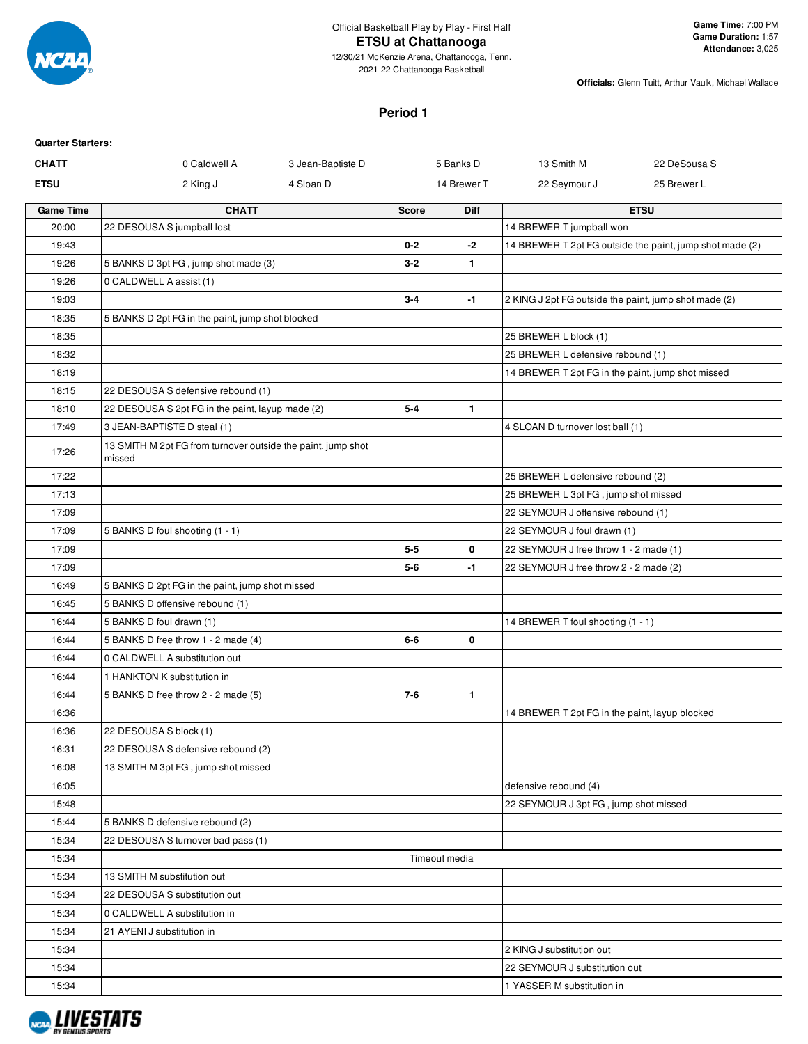

#### **ETSU at Chattanooga**

12/30/21 McKenzie Arena, Chattanooga, Tenn. 2021-22 Chattanooga Basketball

**Officials:** Glenn Tuitt, Arthur Vaulk, Michael Wallace

#### **Period 1**

| <b>Quarter Starters:</b> |                                                                        |                   |              |               |                                                       |                                                          |
|--------------------------|------------------------------------------------------------------------|-------------------|--------------|---------------|-------------------------------------------------------|----------------------------------------------------------|
| <b>CHATT</b>             | 0 Caldwell A                                                           | 3 Jean-Baptiste D |              | 5 Banks D     | 13 Smith M                                            | 22 DeSousa S                                             |
| <b>ETSU</b>              | 2 King J                                                               | 4 Sloan D         |              | 14 Brewer T   | 22 Seymour J                                          | 25 Brewer L                                              |
| <b>Game Time</b>         | <b>CHATT</b>                                                           |                   | <b>Score</b> | Diff          |                                                       | <b>ETSU</b>                                              |
| 20:00                    | 22 DESOUSA S jumpball lost                                             |                   |              |               | 14 BREWER T jumpball won                              |                                                          |
| 19:43                    |                                                                        |                   | $0 - 2$      | -2            |                                                       | 14 BREWER T 2pt FG outside the paint, jump shot made (2) |
| 19:26                    | 5 BANKS D 3pt FG, jump shot made (3)                                   |                   | $3 - 2$      | $\mathbf{1}$  |                                                       |                                                          |
| 19:26                    | 0 CALDWELL A assist (1)                                                |                   |              |               |                                                       |                                                          |
| 19:03                    |                                                                        |                   | $3 - 4$      | $-1$          | 2 KING J 2pt FG outside the paint, jump shot made (2) |                                                          |
| 18:35                    | 5 BANKS D 2pt FG in the paint, jump shot blocked                       |                   |              |               |                                                       |                                                          |
| 18:35                    |                                                                        |                   |              |               | 25 BREWER L block (1)                                 |                                                          |
| 18:32                    |                                                                        |                   |              |               | 25 BREWER L defensive rebound (1)                     |                                                          |
| 18:19                    |                                                                        |                   |              |               | 14 BREWER T 2pt FG in the paint, jump shot missed     |                                                          |
| 18:15                    | 22 DESOUSA S defensive rebound (1)                                     |                   |              |               |                                                       |                                                          |
| 18:10                    | 22 DESOUSA S 2pt FG in the paint, layup made (2)                       |                   | $5 - 4$      | $\mathbf{1}$  |                                                       |                                                          |
| 17:49                    | 3 JEAN-BAPTISTE D steal (1)                                            |                   |              |               | 4 SLOAN D turnover lost ball (1)                      |                                                          |
| 17:26                    | 13 SMITH M 2pt FG from turnover outside the paint, jump shot<br>missed |                   |              |               |                                                       |                                                          |
| 17:22                    |                                                                        |                   |              |               | 25 BREWER L defensive rebound (2)                     |                                                          |
| 17:13                    |                                                                        |                   |              |               | 25 BREWER L 3pt FG, jump shot missed                  |                                                          |
| 17:09                    |                                                                        |                   |              |               | 22 SEYMOUR J offensive rebound (1)                    |                                                          |
| 17:09                    | 5 BANKS D foul shooting (1 - 1)                                        |                   |              |               | 22 SEYMOUR J foul drawn (1)                           |                                                          |
| 17:09                    |                                                                        |                   | $5 - 5$      | 0             | 22 SEYMOUR J free throw 1 - 2 made (1)                |                                                          |
| 17:09                    |                                                                        |                   | $5 - 6$      | -1            | 22 SEYMOUR J free throw 2 - 2 made (2)                |                                                          |
| 16:49                    | 5 BANKS D 2pt FG in the paint, jump shot missed                        |                   |              |               |                                                       |                                                          |
| 16:45                    | 5 BANKS D offensive rebound (1)                                        |                   |              |               |                                                       |                                                          |
| 16:44                    | 5 BANKS D foul drawn (1)                                               |                   |              |               | 14 BREWER T foul shooting (1 - 1)                     |                                                          |
| 16:44                    | 5 BANKS D free throw 1 - 2 made (4)                                    |                   | 6-6          | 0             |                                                       |                                                          |
| 16:44                    | 0 CALDWELL A substitution out                                          |                   |              |               |                                                       |                                                          |
| 16:44                    | 1 HANKTON K substitution in                                            |                   |              |               |                                                       |                                                          |
| 16:44                    | 5 BANKS D free throw 2 - 2 made (5)                                    |                   | $7 - 6$      | $\mathbf{1}$  |                                                       |                                                          |
| 16:36                    |                                                                        |                   |              |               | 14 BREWER T 2pt FG in the paint, layup blocked        |                                                          |
| 16:36                    | 22 DESOUSA S block (1)                                                 |                   |              |               |                                                       |                                                          |
| 16:31                    | 22 DESOUSA S defensive rebound (2)                                     |                   |              |               |                                                       |                                                          |
| 16:08                    | 13 SMITH M 3pt FG, jump shot missed                                    |                   |              |               |                                                       |                                                          |
| 16:05                    |                                                                        |                   |              |               | defensive rebound (4)                                 |                                                          |
| 15:48                    |                                                                        |                   |              |               | 22 SEYMOUR J 3pt FG, jump shot missed                 |                                                          |
| 15:44                    | 5 BANKS D defensive rebound (2)                                        |                   |              |               |                                                       |                                                          |
| 15:34                    | 22 DESOUSA S turnover bad pass (1)                                     |                   |              |               |                                                       |                                                          |
| 15:34                    |                                                                        |                   |              | Timeout media |                                                       |                                                          |
| 15:34                    | 13 SMITH M substitution out                                            |                   |              |               |                                                       |                                                          |
| 15:34                    | 22 DESOUSA S substitution out                                          |                   |              |               |                                                       |                                                          |
| 15:34                    | 0 CALDWELL A substitution in                                           |                   |              |               |                                                       |                                                          |
| 15:34                    | 21 AYENI J substitution in                                             |                   |              |               |                                                       |                                                          |
| 15:34                    |                                                                        |                   |              |               | 2 KING J substitution out                             |                                                          |
| 15:34                    |                                                                        |                   |              |               | 22 SEYMOUR J substitution out                         |                                                          |
| 15:34                    |                                                                        |                   |              |               | 1 YASSER M substitution in                            |                                                          |

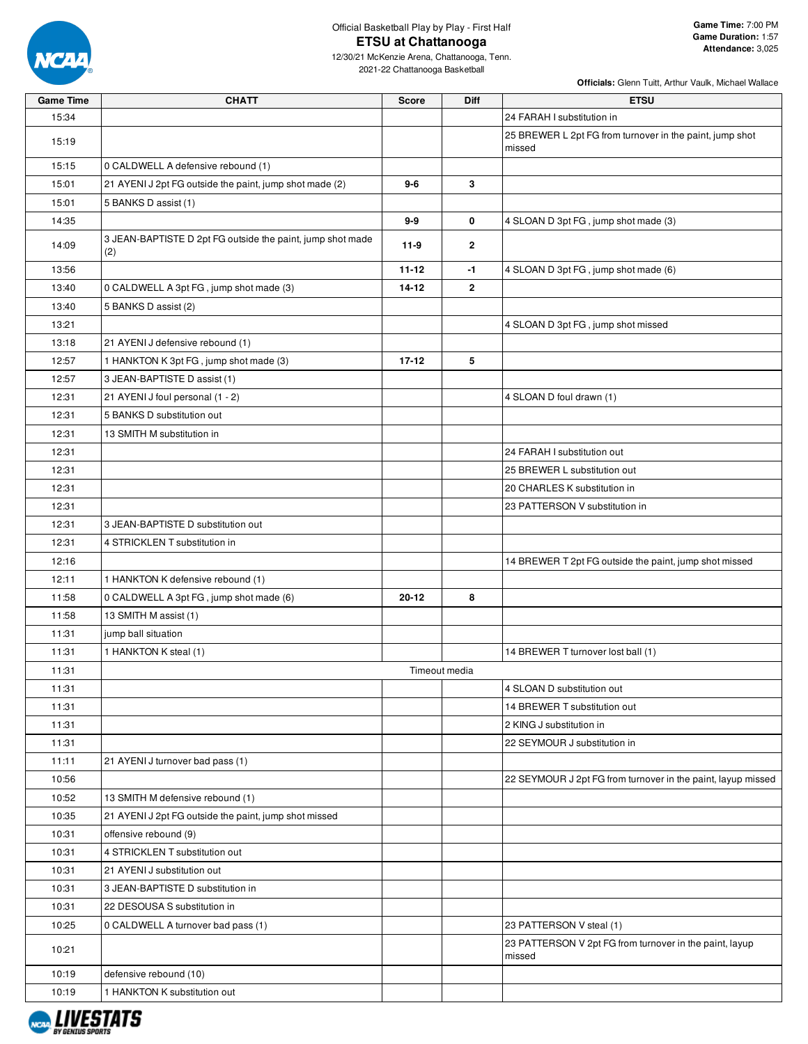

| <b>Game Time</b> | <b>CHATT</b>                                                      | Score     | <b>Diff</b>    | <b>ETSU</b>                                                        |
|------------------|-------------------------------------------------------------------|-----------|----------------|--------------------------------------------------------------------|
| 15:34            |                                                                   |           |                | 24 FARAH I substitution in                                         |
| 15:19            |                                                                   |           |                | 25 BREWER L 2pt FG from turnover in the paint, jump shot<br>missed |
| 15:15            | 0 CALDWELL A defensive rebound (1)                                |           |                |                                                                    |
| 15:01            | 21 AYENI J 2pt FG outside the paint, jump shot made (2)           | $9-6$     | 3              |                                                                    |
| 15:01            | 5 BANKS D assist (1)                                              |           |                |                                                                    |
| 14:35            |                                                                   | $9-9$     | 0              | 4 SLOAN D 3pt FG, jump shot made (3)                               |
| 14:09            | 3 JEAN-BAPTISTE D 2pt FG outside the paint, jump shot made<br>(2) | $11-9$    | $\overline{2}$ |                                                                    |
| 13:56            |                                                                   | $11 - 12$ | -1             | 4 SLOAN D 3pt FG, jump shot made (6)                               |
| 13:40            | 0 CALDWELL A 3pt FG, jump shot made (3)                           | $14 - 12$ | $\overline{2}$ |                                                                    |
| 13:40            | 5 BANKS D assist (2)                                              |           |                |                                                                    |
| 13:21            |                                                                   |           |                | 4 SLOAN D 3pt FG, jump shot missed                                 |
| 13:18            | 21 AYENI J defensive rebound (1)                                  |           |                |                                                                    |
| 12:57            | 1 HANKTON K 3pt FG, jump shot made (3)                            | $17 - 12$ | 5              |                                                                    |
| 12:57            | 3 JEAN-BAPTISTE D assist (1)                                      |           |                |                                                                    |
| 12:31            | 21 AYENI J foul personal (1 - 2)                                  |           |                | 4 SLOAN D foul drawn (1)                                           |
| 12:31            | 5 BANKS D substitution out                                        |           |                |                                                                    |
| 12:31            | 13 SMITH M substitution in                                        |           |                |                                                                    |
| 12:31            |                                                                   |           |                | 24 FARAH I substitution out                                        |
| 12:31            |                                                                   |           |                | 25 BREWER L substitution out                                       |
| 12:31            |                                                                   |           |                | 20 CHARLES K substitution in                                       |
| 12:31            |                                                                   |           |                | 23 PATTERSON V substitution in                                     |
| 12:31            | 3 JEAN-BAPTISTE D substitution out                                |           |                |                                                                    |
| 12:31            | 4 STRICKLEN T substitution in                                     |           |                |                                                                    |
| 12:16            |                                                                   |           |                | 14 BREWER T 2pt FG outside the paint, jump shot missed             |
| 12:11            | 1 HANKTON K defensive rebound (1)                                 |           |                |                                                                    |
| 11:58            | 0 CALDWELL A 3pt FG, jump shot made (6)                           | 20-12     | 8              |                                                                    |
| 11:58            | 13 SMITH M assist (1)                                             |           |                |                                                                    |
| 11:31            | jump ball situation                                               |           |                |                                                                    |
| 11:31            | 1 HANKTON K steal (1)                                             |           |                | 14 BREWER T turnover lost ball (1)                                 |
| 11:31            |                                                                   |           | Timeout media  |                                                                    |
| 11:31            |                                                                   |           |                | 4 SLOAN D substitution out                                         |
| 11:31            |                                                                   |           |                | 14 BREWER T substitution out                                       |
| 11:31            |                                                                   |           |                | 2 KING J substitution in                                           |
| 11:31            |                                                                   |           |                | 22 SEYMOUR J substitution in                                       |
| 11:11            | 21 AYENI J turnover bad pass (1)                                  |           |                |                                                                    |
| 10:56            |                                                                   |           |                | 22 SEYMOUR J 2pt FG from turnover in the paint, layup missed       |
| 10:52            | 13 SMITH M defensive rebound (1)                                  |           |                |                                                                    |
| 10:35            | 21 AYENI J 2pt FG outside the paint, jump shot missed             |           |                |                                                                    |
| 10:31            | offensive rebound (9)                                             |           |                |                                                                    |
| 10:31            | 4 STRICKLEN T substitution out                                    |           |                |                                                                    |
| 10:31            | 21 AYENI J substitution out                                       |           |                |                                                                    |
| 10:31            | 3 JEAN-BAPTISTE D substitution in                                 |           |                |                                                                    |
| 10:31            | 22 DESOUSA S substitution in                                      |           |                |                                                                    |
| 10:25            | 0 CALDWELL A turnover bad pass (1)                                |           |                | 23 PATTERSON V steal (1)                                           |
| 10:21            |                                                                   |           |                | 23 PATTERSON V 2pt FG from turnover in the paint, layup<br>missed  |
| 10:19            | defensive rebound (10)                                            |           |                |                                                                    |
| 10:19            | 1 HANKTON K substitution out                                      |           |                |                                                                    |

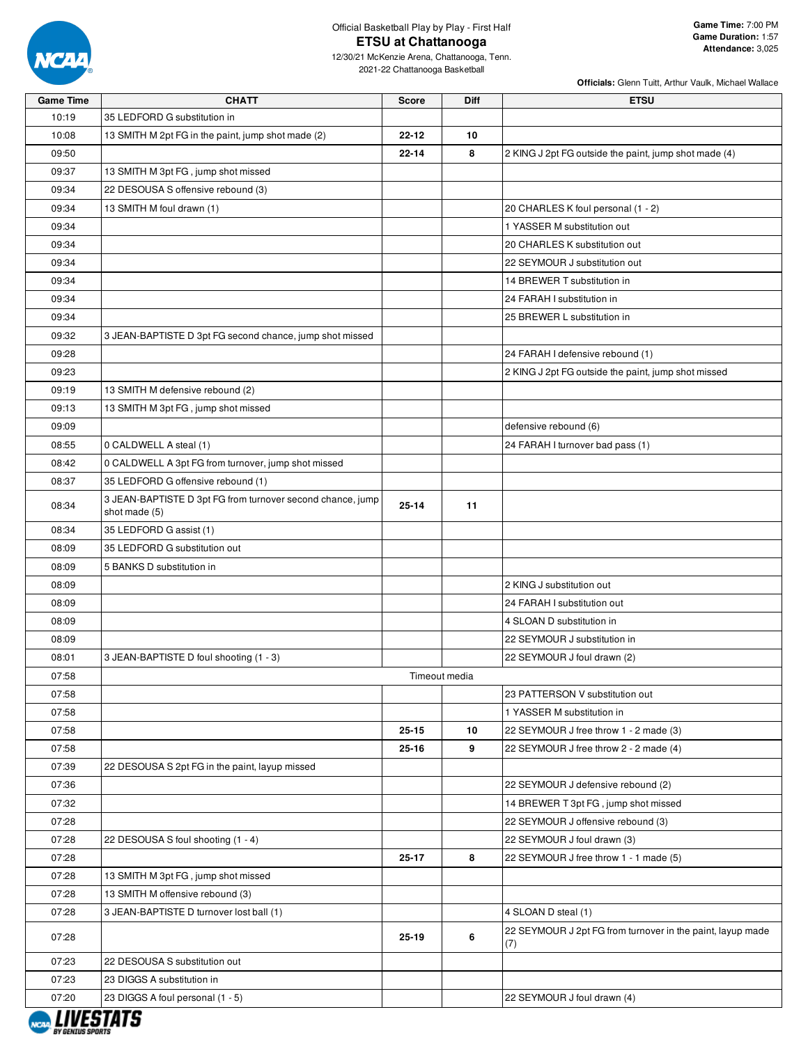

#### Official Basketball Play by Play - First Half **ETSU at Chattanooga**

| <b>Game Time</b> | <b>CHATT</b>                                                                | <b>Score</b> | <b>Diff</b>   | <b>ETSU</b>                                                       |
|------------------|-----------------------------------------------------------------------------|--------------|---------------|-------------------------------------------------------------------|
| 10:19            | 35 LEDFORD G substitution in                                                |              |               |                                                                   |
| 10:08            | 13 SMITH M 2pt FG in the paint, jump shot made (2)                          | $22 - 12$    | 10            |                                                                   |
| 09:50            |                                                                             | $22 - 14$    | 8             | 2 KING J 2pt FG outside the paint, jump shot made (4)             |
| 09:37            | 13 SMITH M 3pt FG, jump shot missed                                         |              |               |                                                                   |
| 09:34            | 22 DESOUSA S offensive rebound (3)                                          |              |               |                                                                   |
| 09:34            | 13 SMITH M foul drawn (1)                                                   |              |               | 20 CHARLES K foul personal (1 - 2)                                |
| 09:34            |                                                                             |              |               | 1 YASSER M substitution out                                       |
| 09:34            |                                                                             |              |               | 20 CHARLES K substitution out                                     |
| 09:34            |                                                                             |              |               | 22 SEYMOUR J substitution out                                     |
| 09:34            |                                                                             |              |               | 14 BREWER T substitution in                                       |
| 09:34            |                                                                             |              |               | 24 FARAH I substitution in                                        |
| 09:34            |                                                                             |              |               | 25 BREWER L substitution in                                       |
| 09:32            | 3 JEAN-BAPTISTE D 3pt FG second chance, jump shot missed                    |              |               |                                                                   |
| 09:28            |                                                                             |              |               | 24 FARAH I defensive rebound (1)                                  |
| 09:23            |                                                                             |              |               | 2 KING J 2pt FG outside the paint, jump shot missed               |
| 09:19            | 13 SMITH M defensive rebound (2)                                            |              |               |                                                                   |
| 09:13            | 13 SMITH M 3pt FG, jump shot missed                                         |              |               |                                                                   |
| 09:09            |                                                                             |              |               | defensive rebound (6)                                             |
| 08:55            | 0 CALDWELL A steal (1)                                                      |              |               | 24 FARAH I turnover bad pass (1)                                  |
| 08:42            | 0 CALDWELL A 3pt FG from turnover, jump shot missed                         |              |               |                                                                   |
| 08:37            | 35 LEDFORD G offensive rebound (1)                                          |              |               |                                                                   |
| 08:34            | 3 JEAN-BAPTISTE D 3pt FG from turnover second chance, jump<br>shot made (5) | 25-14        | 11            |                                                                   |
| 08:34            | 35 LEDFORD G assist (1)                                                     |              |               |                                                                   |
| 08:09            | 35 LEDFORD G substitution out                                               |              |               |                                                                   |
| 08:09            | 5 BANKS D substitution in                                                   |              |               |                                                                   |
| 08:09            |                                                                             |              |               | 2 KING J substitution out                                         |
| 08:09            |                                                                             |              |               | 24 FARAH I substitution out                                       |
| 08:09            |                                                                             |              |               | 4 SLOAN D substitution in                                         |
| 08:09            |                                                                             |              |               | 22 SEYMOUR J substitution in                                      |
| 08:01            | 3 JEAN-BAPTISTE D foul shooting (1 - 3)                                     |              |               | 22 SEYMOUR J foul drawn (2)                                       |
| 07:58            |                                                                             |              | Timeout media |                                                                   |
| 07:58            |                                                                             |              |               | 23 PATTERSON V substitution out                                   |
| 07:58            |                                                                             |              |               | 1 YASSER M substitution in                                        |
| 07:58            |                                                                             | $25 - 15$    | 10            | 22 SEYMOUR J free throw 1 - 2 made (3)                            |
| 07:58            |                                                                             | $25 - 16$    | 9             | 22 SEYMOUR J free throw 2 - 2 made (4)                            |
| 07:39            | 22 DESOUSA S 2pt FG in the paint, layup missed                              |              |               |                                                                   |
| 07:36            |                                                                             |              |               | 22 SEYMOUR J defensive rebound (2)                                |
|                  |                                                                             |              |               |                                                                   |
| 07:32            |                                                                             |              |               | 14 BREWER T 3pt FG, jump shot missed                              |
| 07:28            |                                                                             |              |               | 22 SEYMOUR J offensive rebound (3)                                |
| 07:28            | 22 DESOUSA S foul shooting (1 - 4)                                          |              |               | 22 SEYMOUR J foul drawn (3)                                       |
| 07:28            |                                                                             | 25-17        | 8             | 22 SEYMOUR J free throw 1 - 1 made (5)                            |
| 07:28            | 13 SMITH M 3pt FG, jump shot missed                                         |              |               |                                                                   |
| 07:28            | 13 SMITH M offensive rebound (3)                                            |              |               |                                                                   |
| 07:28            | 3 JEAN-BAPTISTE D turnover lost ball (1)                                    |              |               | 4 SLOAN D steal (1)                                               |
| 07:28            |                                                                             | $25 - 19$    | 6             | 22 SEYMOUR J 2pt FG from turnover in the paint, layup made<br>(7) |
| 07:23            | 22 DESOUSA S substitution out                                               |              |               |                                                                   |
| 07:23            | 23 DIGGS A substitution in                                                  |              |               |                                                                   |
| 07:20            | 23 DIGGS A foul personal (1 - 5)                                            |              |               | 22 SEYMOUR J foul drawn (4)                                       |

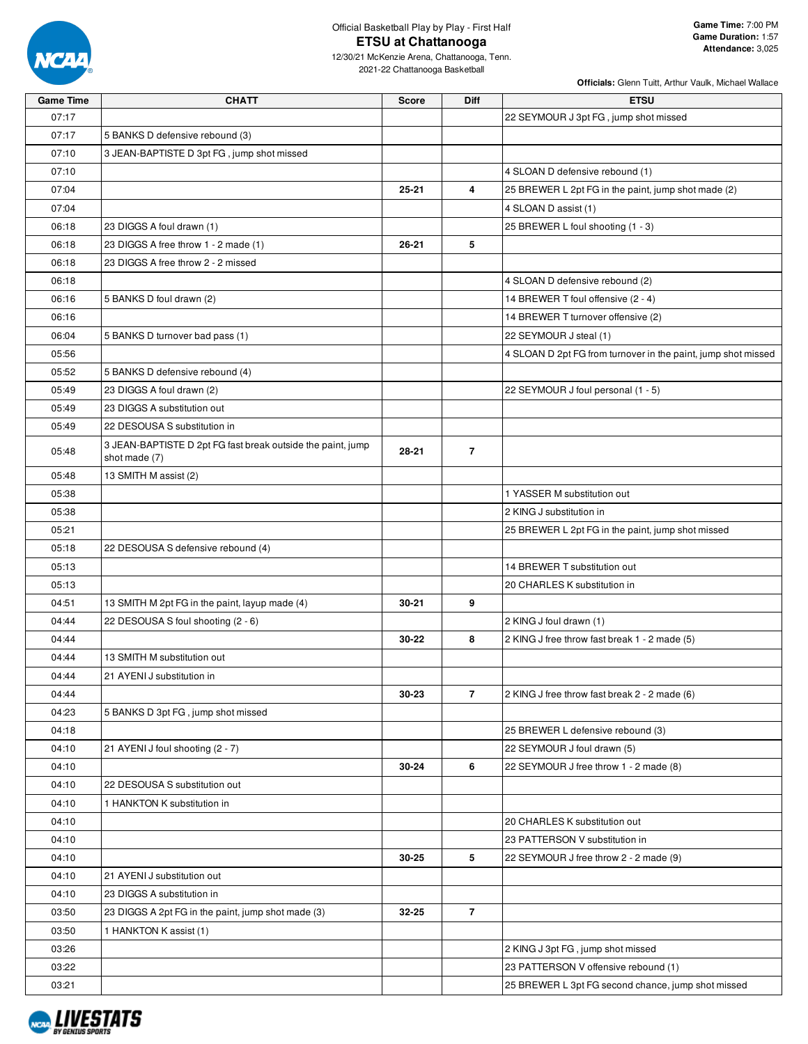

| <b>Game Time</b> | <b>CHATT</b>                                                                 | Score     | Diff           | <b>ETSU</b>                                                   |
|------------------|------------------------------------------------------------------------------|-----------|----------------|---------------------------------------------------------------|
| 07:17            |                                                                              |           |                | 22 SEYMOUR J 3pt FG, jump shot missed                         |
| 07:17            | 5 BANKS D defensive rebound (3)                                              |           |                |                                                               |
| 07:10            | 3 JEAN-BAPTISTE D 3pt FG, jump shot missed                                   |           |                |                                                               |
| 07:10            |                                                                              |           |                | 4 SLOAN D defensive rebound (1)                               |
| 07:04            |                                                                              | 25-21     | 4              | 25 BREWER L 2pt FG in the paint, jump shot made (2)           |
| 07:04            |                                                                              |           |                | 4 SLOAN D assist (1)                                          |
| 06:18            | 23 DIGGS A foul drawn (1)                                                    |           |                | 25 BREWER L foul shooting (1 - 3)                             |
| 06:18            | 23 DIGGS A free throw 1 - 2 made (1)                                         | $26 - 21$ | 5              |                                                               |
| 06:18            | 23 DIGGS A free throw 2 - 2 missed                                           |           |                |                                                               |
| 06:18            |                                                                              |           |                | 4 SLOAN D defensive rebound (2)                               |
| 06:16            | 5 BANKS D foul drawn (2)                                                     |           |                | 14 BREWER T foul offensive (2 - 4)                            |
| 06:16            |                                                                              |           |                | 14 BREWER T turnover offensive (2)                            |
| 06:04            | 5 BANKS D turnover bad pass (1)                                              |           |                | 22 SEYMOUR J steal (1)                                        |
| 05:56            |                                                                              |           |                | 4 SLOAN D 2pt FG from turnover in the paint, jump shot missed |
| 05:52            | 5 BANKS D defensive rebound (4)                                              |           |                |                                                               |
| 05:49            | 23 DIGGS A foul drawn (2)                                                    |           |                | 22 SEYMOUR J foul personal (1 - 5)                            |
| 05:49            | 23 DIGGS A substitution out                                                  |           |                |                                                               |
| 05:49            | 22 DESOUSA S substitution in                                                 |           |                |                                                               |
| 05:48            | 3 JEAN-BAPTISTE D 2pt FG fast break outside the paint, jump<br>shot made (7) | 28-21     | $\overline{7}$ |                                                               |
| 05:48            | 13 SMITH M assist (2)                                                        |           |                |                                                               |
| 05:38            |                                                                              |           |                | 1 YASSER M substitution out                                   |
| 05:38            |                                                                              |           |                | 2 KING J substitution in                                      |
| 05:21            |                                                                              |           |                | 25 BREWER L 2pt FG in the paint, jump shot missed             |
| 05:18            | 22 DESOUSA S defensive rebound (4)                                           |           |                |                                                               |
| 05:13            |                                                                              |           |                | 14 BREWER T substitution out                                  |
| 05:13            |                                                                              |           |                | 20 CHARLES K substitution in                                  |
| 04:51            | 13 SMITH M 2pt FG in the paint, layup made (4)                               | 30-21     | 9              |                                                               |
| 04:44            | 22 DESOUSA S foul shooting (2 - 6)                                           |           |                | 2 KING J foul drawn (1)                                       |
| 04:44            |                                                                              | 30-22     | 8              | 2 KING J free throw fast break 1 - 2 made (5)                 |
| 04:44            | 13 SMITH M substitution out                                                  |           |                |                                                               |
| 04:44            | 21 AYENI J substitution in                                                   |           |                |                                                               |
| 04:44            |                                                                              | 30-23     | $\overline{7}$ | 2 KING J free throw fast break 2 - 2 made (6)                 |
| 04:23            | 5 BANKS D 3pt FG, jump shot missed                                           |           |                |                                                               |
| 04:18            |                                                                              |           |                | 25 BREWER L defensive rebound (3)                             |
| 04:10            | 21 AYENI J foul shooting (2 - 7)                                             |           |                | 22 SEYMOUR J foul drawn (5)                                   |
| 04:10            |                                                                              | 30-24     | 6              | 22 SEYMOUR J free throw 1 - 2 made (8)                        |
| 04:10            | 22 DESOUSA S substitution out                                                |           |                |                                                               |
| 04:10            | 1 HANKTON K substitution in                                                  |           |                |                                                               |
| 04:10            |                                                                              |           |                | 20 CHARLES K substitution out                                 |
| 04:10            |                                                                              |           |                | 23 PATTERSON V substitution in                                |
| 04:10            |                                                                              | 30-25     | 5              | 22 SEYMOUR J free throw 2 - 2 made (9)                        |
| 04:10            | 21 AYENI J substitution out                                                  |           |                |                                                               |
| 04:10            | 23 DIGGS A substitution in                                                   |           |                |                                                               |
| 03:50            | 23 DIGGS A 2pt FG in the paint, jump shot made (3)                           | 32-25     | $\overline{7}$ |                                                               |
| 03:50            | 1 HANKTON K assist (1)                                                       |           |                |                                                               |
| 03:26            |                                                                              |           |                | 2 KING J 3pt FG, jump shot missed                             |
| 03:22            |                                                                              |           |                | 23 PATTERSON V offensive rebound (1)                          |
| 03:21            |                                                                              |           |                | 25 BREWER L 3pt FG second chance, jump shot missed            |

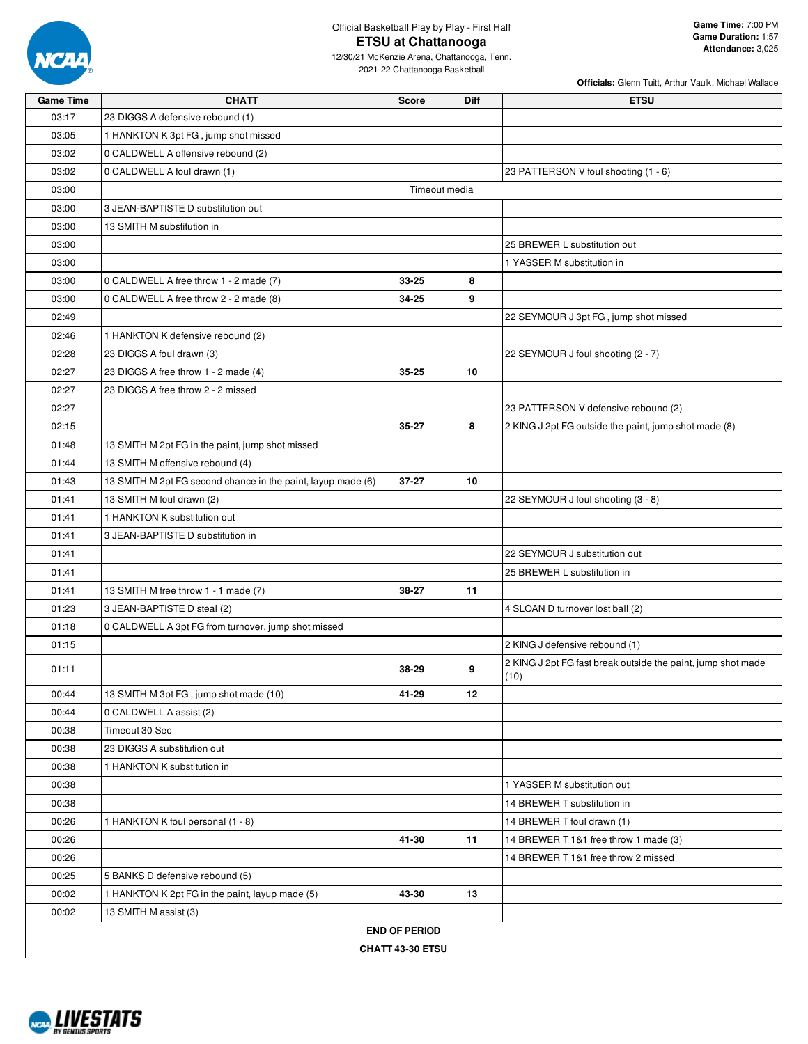

### Official Basketball Play by Play - First Half **ETSU at Chattanooga**

12/30/21 McKenzie Arena, Chattanooga, Tenn. 2021-22 Chattanooga Basketball

| <b>Game Time</b>       | <b>CHATT</b>                                                 | <b>Score</b>            | Diff | <b>ETSU</b>                                                  |  |  |  |  |
|------------------------|--------------------------------------------------------------|-------------------------|------|--------------------------------------------------------------|--|--|--|--|
| 03:17                  | 23 DIGGS A defensive rebound (1)                             |                         |      |                                                              |  |  |  |  |
| 03:05                  | 1 HANKTON K 3pt FG, jump shot missed                         |                         |      |                                                              |  |  |  |  |
| 03:02                  | 0 CALDWELL A offensive rebound (2)                           |                         |      |                                                              |  |  |  |  |
| 03:02                  | 0 CALDWELL A foul drawn (1)                                  |                         |      | 23 PATTERSON V foul shooting (1 - 6)                         |  |  |  |  |
| 03:00<br>Timeout media |                                                              |                         |      |                                                              |  |  |  |  |
| 03:00                  | 3 JEAN-BAPTISTE D substitution out                           |                         |      |                                                              |  |  |  |  |
| 03:00                  | 13 SMITH M substitution in                                   |                         |      |                                                              |  |  |  |  |
| 03:00                  |                                                              |                         |      | 25 BREWER L substitution out                                 |  |  |  |  |
| 03:00                  |                                                              |                         |      | 1 YASSER M substitution in                                   |  |  |  |  |
| 03:00                  | 0 CALDWELL A free throw 1 - 2 made (7)                       | 33-25                   | 8    |                                                              |  |  |  |  |
| 03:00                  | 0 CALDWELL A free throw 2 - 2 made (8)                       | 34-25                   | 9    |                                                              |  |  |  |  |
| 02:49                  |                                                              |                         |      | 22 SEYMOUR J 3pt FG, jump shot missed                        |  |  |  |  |
| 02:46                  | 1 HANKTON K defensive rebound (2)                            |                         |      |                                                              |  |  |  |  |
| 02:28                  | 23 DIGGS A foul drawn (3)                                    |                         |      | 22 SEYMOUR J foul shooting (2 - 7)                           |  |  |  |  |
| 02:27                  | 23 DIGGS A free throw 1 - 2 made (4)                         | 35-25                   | 10   |                                                              |  |  |  |  |
| 02:27                  | 23 DIGGS A free throw 2 - 2 missed                           |                         |      |                                                              |  |  |  |  |
| 02:27                  |                                                              |                         |      | 23 PATTERSON V defensive rebound (2)                         |  |  |  |  |
| 02:15                  |                                                              | 35-27                   | 8    | 2 KING J 2pt FG outside the paint, jump shot made (8)        |  |  |  |  |
| 01:48                  | 13 SMITH M 2pt FG in the paint, jump shot missed             |                         |      |                                                              |  |  |  |  |
| 01:44                  | 13 SMITH M offensive rebound (4)                             |                         |      |                                                              |  |  |  |  |
| 01:43                  | 13 SMITH M 2pt FG second chance in the paint, layup made (6) | $37 - 27$               | 10   |                                                              |  |  |  |  |
| 01:41                  | 13 SMITH M foul drawn (2)                                    |                         |      | 22 SEYMOUR J foul shooting (3 - 8)                           |  |  |  |  |
| 01:41                  | 1 HANKTON K substitution out                                 |                         |      |                                                              |  |  |  |  |
| 01:41                  | 3 JEAN-BAPTISTE D substitution in                            |                         |      |                                                              |  |  |  |  |
| 01:41                  |                                                              |                         |      | 22 SEYMOUR J substitution out                                |  |  |  |  |
| 01:41                  |                                                              |                         |      | 25 BREWER L substitution in                                  |  |  |  |  |
| 01:41                  | 13 SMITH M free throw 1 - 1 made (7)                         | 38-27                   | 11   |                                                              |  |  |  |  |
| 01:23                  | 3 JEAN-BAPTISTE D steal (2)                                  |                         |      | 4 SLOAN D turnover lost ball (2)                             |  |  |  |  |
| 01:18                  | 0 CALDWELL A 3pt FG from turnover, jump shot missed          |                         |      |                                                              |  |  |  |  |
| 01:15                  |                                                              |                         |      | 2 KING J defensive rebound (1)                               |  |  |  |  |
| 01:11                  |                                                              | 38-29                   | 9    | 2 KING J 2pt FG fast break outside the paint, jump shot made |  |  |  |  |
|                        |                                                              |                         |      | (10)                                                         |  |  |  |  |
| 00:44                  | 13 SMITH M 3pt FG, jump shot made (10)                       | 41-29                   | 12   |                                                              |  |  |  |  |
| 00:44                  | 0 CALDWELL A assist (2)                                      |                         |      |                                                              |  |  |  |  |
| 00:38                  | Timeout 30 Sec                                               |                         |      |                                                              |  |  |  |  |
| 00:38                  | 23 DIGGS A substitution out                                  |                         |      |                                                              |  |  |  |  |
| 00:38                  | 1 HANKTON K substitution in                                  |                         |      |                                                              |  |  |  |  |
| 00:38                  |                                                              |                         |      | 1 YASSER M substitution out                                  |  |  |  |  |
| 00:38                  |                                                              |                         |      | 14 BREWER T substitution in                                  |  |  |  |  |
| 00:26                  | 1 HANKTON K foul personal (1 - 8)                            |                         |      | 14 BREWER T foul drawn (1)                                   |  |  |  |  |
| 00:26                  |                                                              | 41-30                   | 11   | 14 BREWER T 1&1 free throw 1 made (3)                        |  |  |  |  |
| 00:26                  |                                                              |                         |      | 14 BREWER T 1&1 free throw 2 missed                          |  |  |  |  |
| 00:25                  | 5 BANKS D defensive rebound (5)                              |                         |      |                                                              |  |  |  |  |
| 00:02                  | 1 HANKTON K 2pt FG in the paint, layup made (5)              | 43-30                   | 13   |                                                              |  |  |  |  |
| 00:02                  | 13 SMITH M assist (3)                                        |                         |      |                                                              |  |  |  |  |
|                        |                                                              | <b>END OF PERIOD</b>    |      |                                                              |  |  |  |  |
|                        |                                                              | <b>CHATT 43-30 ETSU</b> |      |                                                              |  |  |  |  |

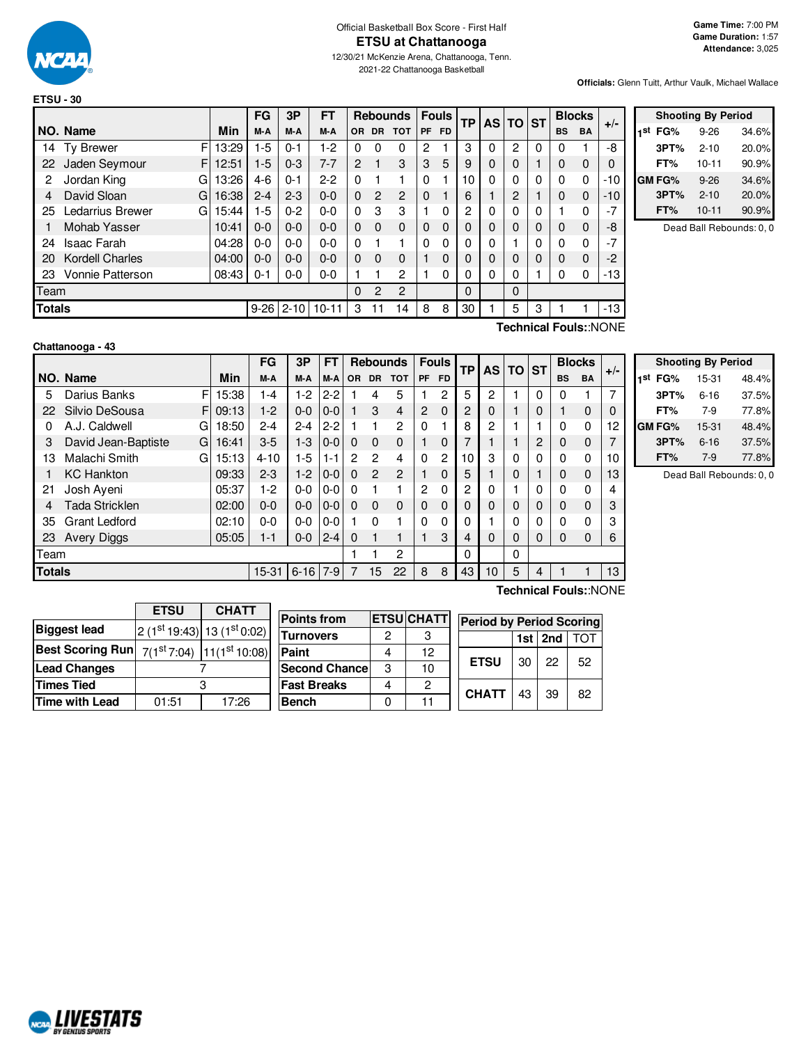

## Official Basketball Box Score - First Half **ETSU at Chattanooga**

12/30/21 McKenzie Arena, Chattanooga, Tenn. 2021-22 Chattanooga Basketball

**Officials:** Glenn Tuitt, Arthur Vaulk, Michael Wallace

|               |                         |            | FG       | 3P       | FТ        |                |           | <b>Rebounds</b> |           | <b>Fouls</b> | <b>TP</b> |          | AS TO ST    |   |           | <b>Blocks</b> | $+/-$                        |
|---------------|-------------------------|------------|----------|----------|-----------|----------------|-----------|-----------------|-----------|--------------|-----------|----------|-------------|---|-----------|---------------|------------------------------|
|               | NO. Name                | <b>Min</b> | M-A      | M-A      | M-A       | OR.            | <b>DR</b> | <b>TOT</b>      | <b>PF</b> | <b>FD</b>    |           |          |             |   | <b>BS</b> | <b>BA</b>     |                              |
| 14            | F<br><b>Ty Brewer</b>   | 13:29      | $-5$     | 0-1      | $1-2$     | 0              | 0         | 0               | 2         |              | 3         | $\Omega$ | 2           | 0 | 0         |               | -8                           |
| 22            | Jaden Seymour<br>F      | 12:51      | $1-5$    | $0 - 3$  | $7 - 7$   | $\overline{2}$ | 1         | 3               | 3         | 5            | 9         | $\Omega$ | $\Omega$    |   | 0         | 0             | 0                            |
| 2             | Jordan King<br>G        | 13:26      | $4-6$    | 0-1      | $2-2$     | 0              |           | 1               | 0         |              | 10        | $\Omega$ | 0           | 0 | 0         | 0             | -10                          |
| 4             | David Sloan<br>G        | 16:38      | $2 - 4$  | $2 - 3$  | $0 - 0$   | $\Omega$       | 2         | $\overline{c}$  | 0         |              | 6         |          | 2           |   | 0         | $\Omega$      | -10                          |
| 25            | Ledarrius Brewer<br>G   | 15:44      | $1-5$    | $0 - 2$  | $0 - 0$   | 0              | 3         | 3               |           | 0            | 2         | $\Omega$ | 0           | 0 |           | 0             | $-7$                         |
|               | Mohab Yasser            | 10:41      | $0 - 0$  | $0 - 0$  | $0 - 0$   | $\Omega$       | $\Omega$  | $\mathbf 0$     | 0         | 0            | 0         | $\Omega$ | $\mathbf 0$ | 0 | 0         | 0             | -8                           |
| 24            | <b>Isaac Farah</b>      | 04:28      | $0 - 0$  | 0-0      | $0 - 0$   | $\Omega$       |           | 1               | 0         | 0            | 0         | $\Omega$ |             | 0 | 0         | 0             | $-7$                         |
| 20            | <b>Kordell Charles</b>  | 04:00      | $0 - 0$  | $0 - 0$  | $0 - 0$   | $\Omega$       | $\Omega$  | 0               |           | 0            | 0         | $\Omega$ | $\mathbf 0$ | 0 | 0         | 0             | $-2$                         |
| 23            | <b>Vonnie Patterson</b> | 08:43      | $0 - 1$  | 0-0      | $0 - 0$   |                |           | $\overline{2}$  |           | 0            | 0         | 0        | 0           |   | 0         | 0             | -13                          |
| Team          |                         |            |          |          |           | $\Omega$       | 2         | 2               |           |              | 0         |          | 0           |   |           |               |                              |
| <b>Totals</b> |                         |            | $9 - 26$ | $2 - 10$ | $10 - 11$ | 3              |           | 14              | 8         | 8            | 30        |          | 5           | 3 |           |               | -13                          |
|               |                         |            |          |          |           |                |           |                 |           |              |           |          |             |   |           |               | <b>T.L. L.L. P. L. MONIT</b> |

|     | <b>Shooting By Period</b> |           |       |  |  |  |  |  |  |  |  |  |  |
|-----|---------------------------|-----------|-------|--|--|--|--|--|--|--|--|--|--|
| 1st | FG%                       | $9 - 26$  | 34.6% |  |  |  |  |  |  |  |  |  |  |
|     | 3PT%                      | $2 - 10$  | 20.0% |  |  |  |  |  |  |  |  |  |  |
|     | FT%                       | $10 - 11$ | 90.9% |  |  |  |  |  |  |  |  |  |  |
|     | GM FG%                    | $9 - 26$  | 34.6% |  |  |  |  |  |  |  |  |  |  |
|     | 3PT%                      | $2 - 10$  | 20.0% |  |  |  |  |  |  |  |  |  |  |
|     | FT%                       | $10 - 11$ | 90.9% |  |  |  |  |  |  |  |  |  |  |

Dead Ball Rebounds: 0, 0

|  | Chattanooga - 43 |  |  |
|--|------------------|--|--|
|--|------------------|--|--|

**Technical Fouls:**:NONE

|               |                          |            | FG        | 3Р       | FT      |           |               | <b>Rebounds</b> |             | <b>Fouls</b>   | <b>TP</b> | <b>AS</b> | <b>TO</b> | <b>ST</b> |           | <b>Blocks</b> | $+/-$ |
|---------------|--------------------------|------------|-----------|----------|---------|-----------|---------------|-----------------|-------------|----------------|-----------|-----------|-----------|-----------|-----------|---------------|-------|
|               | NO. Name                 | <b>Min</b> | M-A       | M-A      | M-A     | <b>OR</b> | <b>DR</b>     | <b>TOT</b>      | <b>PF</b>   | <b>FD</b>      |           |           |           |           | <b>BS</b> | <b>BA</b>     |       |
| 5             | Darius Banks<br>F        | 15:38      | 1-4       | $1-2$    | $2 - 2$ |           | 4             | 5               |             | $\overline{2}$ | 5         | 2         |           | $\Omega$  | 0         |               | 7     |
| 22            | Silvio DeSousa<br>F.     | 09:13      | $1-2$     | $0 - 0$  | $0 - 0$ |           | 3             | $\overline{4}$  | 2           | $\Omega$       | 2         | 0         |           | 0         |           | 0             | 0     |
| 0             | A.J. Caldwell<br>G       | 18:50      | $2 - 4$   | $2 - 4$  | $2 - 2$ |           |               | 2               | $\Omega$    | 1              | 8         | 2         |           |           | 0         | 0             | 12    |
| 3             | David Jean-Baptiste<br>G | 16:41      | $3-5$     | $1 - 3$  | $0 - 0$ | $\Omega$  | $\Omega$      | $\mathbf 0$     |             | 0              |           |           |           | 2         | 0         | 0             | 7     |
| 13            | Malachi Smith<br>G       | 15:13      | $4 - 10$  | 1-5      | $1 - 1$ | 2         | 2             | 4               | 0           | 2              | 10        | 3         | 0         | 0         | 0         | 0             | 10    |
|               | <b>KC Hankton</b>        | 09:33      | $2 - 3$   | $1-2$    | $0 - 0$ | $\Omega$  | $\mathcal{P}$ | $\overline{2}$  |             | $\Omega$       | 5         |           | 0         |           | 0         | 0             | 13    |
| 21            | Josh Aveni               | 05:37      | 1-2       | $0-0$    | $0-0$   | $\Omega$  |               |                 | 2           | 0              | 2         | 0         |           | 0         | 0         | 0             | 4     |
| 4             | <b>Tada Stricklen</b>    | 02:00      | 0-0       | $0 - 0$  | $0 - 0$ | $\Omega$  | $\Omega$      | $\mathbf 0$     | $\mathbf 0$ | $\mathbf 0$    | O         | 0         | 0         | 0         | 0         | $\mathbf 0$   | 3     |
| 35            | <b>Grant Ledford</b>     | 02:10      | 0-0       | $0-0$    | $0-0$   |           | 0             |                 | 0           | 0              | 0         |           | 0         | 0         | 0         | 0             | 3     |
| 23            | <b>Avery Diggs</b>       | 05:05      | 1-1       | $0-0$    | $2 - 4$ | $\Omega$  |               |                 |             | 3              | 4         | 0         | 0         | 0         | 0         | 0             | 6     |
| Team          |                          |            |           |          |         |           |               | 2               |             |                | 0         |           | 0         |           |           |               |       |
| <b>Totals</b> |                          |            | $15 - 31$ | $6 - 16$ | $7-9$   |           | 15            | 22              | 8           | 8              | 43        | 10        | 5         | 4         |           |               | 13    |
|               |                          |            |           |          |         |           |               |                 |             |                |           |           |           |           |           |               |       |

| <b>Shooting By Period</b><br>1st<br>48.4%<br>FG%<br>15-31<br>37.5%<br>3PT%<br>$6 - 16$<br>77.8%<br>FT%<br>$7-9$ |          |       |  |  |  |  |  |  |  |  |  |  |  |
|-----------------------------------------------------------------------------------------------------------------|----------|-------|--|--|--|--|--|--|--|--|--|--|--|
|                                                                                                                 |          |       |  |  |  |  |  |  |  |  |  |  |  |
|                                                                                                                 |          |       |  |  |  |  |  |  |  |  |  |  |  |
|                                                                                                                 |          |       |  |  |  |  |  |  |  |  |  |  |  |
| GM FG%                                                                                                          | 15-31    | 48.4% |  |  |  |  |  |  |  |  |  |  |  |
| 3PT%                                                                                                            | $6 - 16$ | 37.5% |  |  |  |  |  |  |  |  |  |  |  |
| FT%                                                                                                             | $7-9$    | 77.8% |  |  |  |  |  |  |  |  |  |  |  |

Dead Ball Rebounds: 0, 0

|                                                            | <b>ETSU</b> | <b>CHATT</b>              |                      |   |                  |                                 |     |     |            |
|------------------------------------------------------------|-------------|---------------------------|----------------------|---|------------------|---------------------------------|-----|-----|------------|
|                                                            |             |                           | <b>Points from</b>   |   | <b>ETSUCHATT</b> | <b>Period by Period Scoring</b> |     |     |            |
| <b>Biggest lead</b>                                        |             | $2(1st19:43) 13(1st0:02)$ | <b>Turnovers</b>     | 2 |                  |                                 | 1st | 2nd | <b>TOT</b> |
| Best Scoring Run $7(1^{st}7.04)$ 11(1 <sup>st</sup> 10:08) |             |                           | <b>Paint</b>         | 4 | 12               |                                 |     |     |            |
| <b>Lead Changes</b>                                        |             |                           | <b>Second Chance</b> | 3 | 10               | <b>ETSU</b>                     | 30  | 22  | -52        |
| <b>Times Tied</b>                                          |             |                           | <b>Fast Breaks</b>   | 4 | 2                | <b>CHATT</b>                    |     |     |            |
| <b>Time with Lead</b>                                      | 01:51       | 17:26                     | <b>Bench</b>         | 0 |                  |                                 | 43  | 39  | 82         |

**Technical Fouls:**:NONE

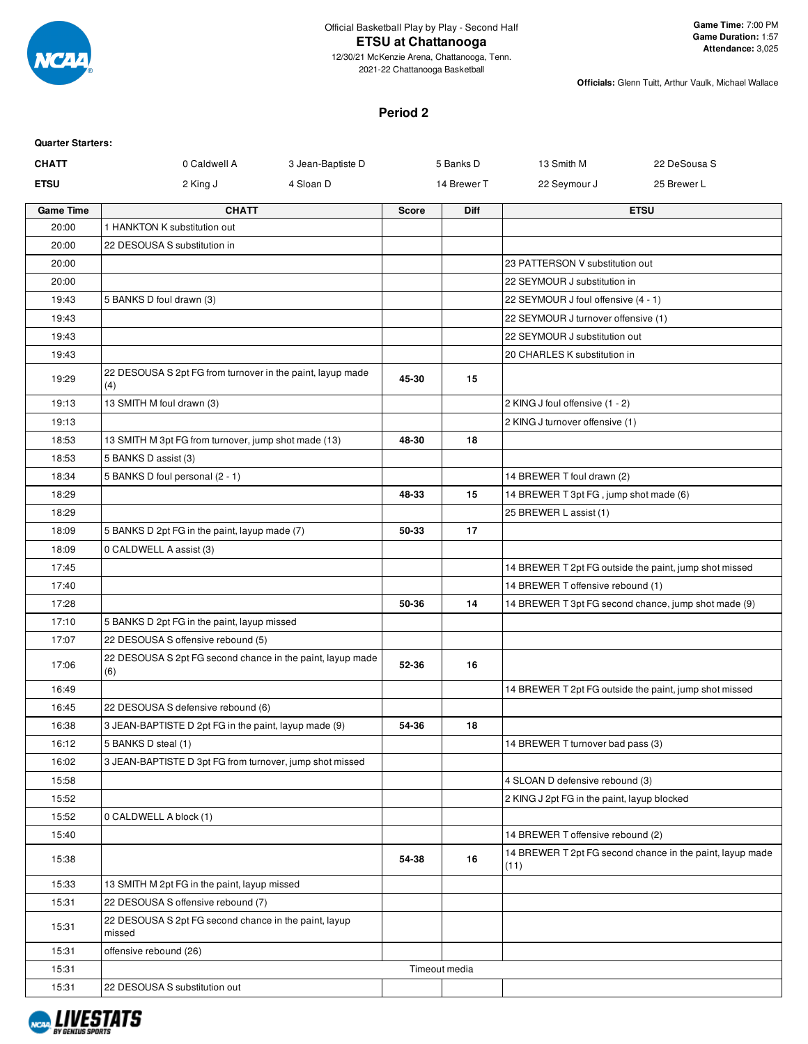

#### **Period 2**

| <b>Quarter Starters:</b> |                                                                   |                   |              |               |                                             |                                                           |
|--------------------------|-------------------------------------------------------------------|-------------------|--------------|---------------|---------------------------------------------|-----------------------------------------------------------|
| <b>CHATT</b>             | 0 Caldwell A                                                      | 3 Jean-Baptiste D |              | 5 Banks D     | 13 Smith M                                  | 22 DeSousa S                                              |
| <b>ETSU</b>              | 2 King J                                                          | 4 Sloan D         |              | 14 Brewer T   | 22 Seymour J                                | 25 Brewer L                                               |
| <b>Game Time</b>         | <b>CHATT</b>                                                      |                   | <b>Score</b> | Diff          |                                             | <b>ETSU</b>                                               |
| 20:00                    | 1 HANKTON K substitution out                                      |                   |              |               |                                             |                                                           |
| 20:00                    | 22 DESOUSA S substitution in                                      |                   |              |               |                                             |                                                           |
| 20:00                    |                                                                   |                   |              |               | 23 PATTERSON V substitution out             |                                                           |
| 20:00                    |                                                                   |                   |              |               | 22 SEYMOUR J substitution in                |                                                           |
| 19:43                    | 5 BANKS D foul drawn (3)                                          |                   |              |               | 22 SEYMOUR J foul offensive (4 - 1)         |                                                           |
| 19:43                    |                                                                   |                   |              |               | 22 SEYMOUR J turnover offensive (1)         |                                                           |
| 19:43                    |                                                                   |                   |              |               | 22 SEYMOUR J substitution out               |                                                           |
| 19:43                    |                                                                   |                   |              |               | 20 CHARLES K substitution in                |                                                           |
| 19:29                    | 22 DESOUSA S 2pt FG from turnover in the paint, layup made<br>(4) |                   | 45-30        | 15            |                                             |                                                           |
| 19:13                    | 13 SMITH M foul drawn (3)                                         |                   |              |               | 2 KING J foul offensive (1 - 2)             |                                                           |
| 19:13                    |                                                                   |                   |              |               | 2 KING J turnover offensive (1)             |                                                           |
| 18:53                    | 13 SMITH M 3pt FG from turnover, jump shot made (13)              |                   | 48-30        | 18            |                                             |                                                           |
| 18:53                    | 5 BANKS D assist (3)                                              |                   |              |               |                                             |                                                           |
| 18:34                    | 5 BANKS D foul personal (2 - 1)                                   |                   |              |               | 14 BREWER T foul drawn (2)                  |                                                           |
| 18:29                    |                                                                   |                   | 48-33        | 15            | 14 BREWER T 3pt FG, jump shot made (6)      |                                                           |
| 18:29                    |                                                                   |                   |              |               | 25 BREWER L assist (1)                      |                                                           |
| 18:09                    | 5 BANKS D 2pt FG in the paint, layup made (7)                     |                   | 50-33        | 17            |                                             |                                                           |
| 18:09                    | 0 CALDWELL A assist (3)                                           |                   |              |               |                                             |                                                           |
| 17:45                    |                                                                   |                   |              |               |                                             | 14 BREWER T 2pt FG outside the paint, jump shot missed    |
| 17:40                    |                                                                   |                   |              |               | 14 BREWER T offensive rebound (1)           |                                                           |
| 17:28                    |                                                                   |                   | 50-36        | 14            |                                             | 14 BREWER T 3pt FG second chance, jump shot made (9)      |
| 17:10                    | 5 BANKS D 2pt FG in the paint, layup missed                       |                   |              |               |                                             |                                                           |
| 17:07                    | 22 DESOUSA S offensive rebound (5)                                |                   |              |               |                                             |                                                           |
| 17:06                    | 22 DESOUSA S 2pt FG second chance in the paint, layup made<br>(6) |                   | 52-36        | 16            |                                             |                                                           |
| 16:49                    |                                                                   |                   |              |               |                                             | 14 BREWER T 2pt FG outside the paint, jump shot missed    |
| 16:45                    | 22 DESOUSA S defensive rebound (6)                                |                   |              |               |                                             |                                                           |
| 16:38                    | 3 JEAN-BAPTISTE D 2pt FG in the paint, layup made (9)             |                   | 54-36        | 18            |                                             |                                                           |
| 16:12                    | 5 BANKS D steal (1)                                               |                   |              |               | 14 BREWER T turnover bad pass (3)           |                                                           |
| 16:02                    | 3 JEAN-BAPTISTE D 3pt FG from turnover, jump shot missed          |                   |              |               |                                             |                                                           |
| 15:58                    |                                                                   |                   |              |               | 4 SLOAN D defensive rebound (3)             |                                                           |
| 15:52                    |                                                                   |                   |              |               | 2 KING J 2pt FG in the paint, layup blocked |                                                           |
| 15:52                    | 0 CALDWELL A block (1)                                            |                   |              |               |                                             |                                                           |
| 15:40                    |                                                                   |                   |              |               | 14 BREWER T offensive rebound (2)           |                                                           |
| 15:38                    |                                                                   |                   | 54-38        | 16            | (11)                                        | 14 BREWER T 2pt FG second chance in the paint, layup made |
| 15:33                    | 13 SMITH M 2pt FG in the paint, layup missed                      |                   |              |               |                                             |                                                           |
| 15:31                    | 22 DESOUSA S offensive rebound (7)                                |                   |              |               |                                             |                                                           |
| 15:31                    | 22 DESOUSA S 2pt FG second chance in the paint, layup<br>missed   |                   |              |               |                                             |                                                           |
| 15:31                    | offensive rebound (26)                                            |                   |              |               |                                             |                                                           |
| 15:31                    |                                                                   |                   |              | Timeout media |                                             |                                                           |
| 15:31                    | 22 DESOUSA S substitution out                                     |                   |              |               |                                             |                                                           |

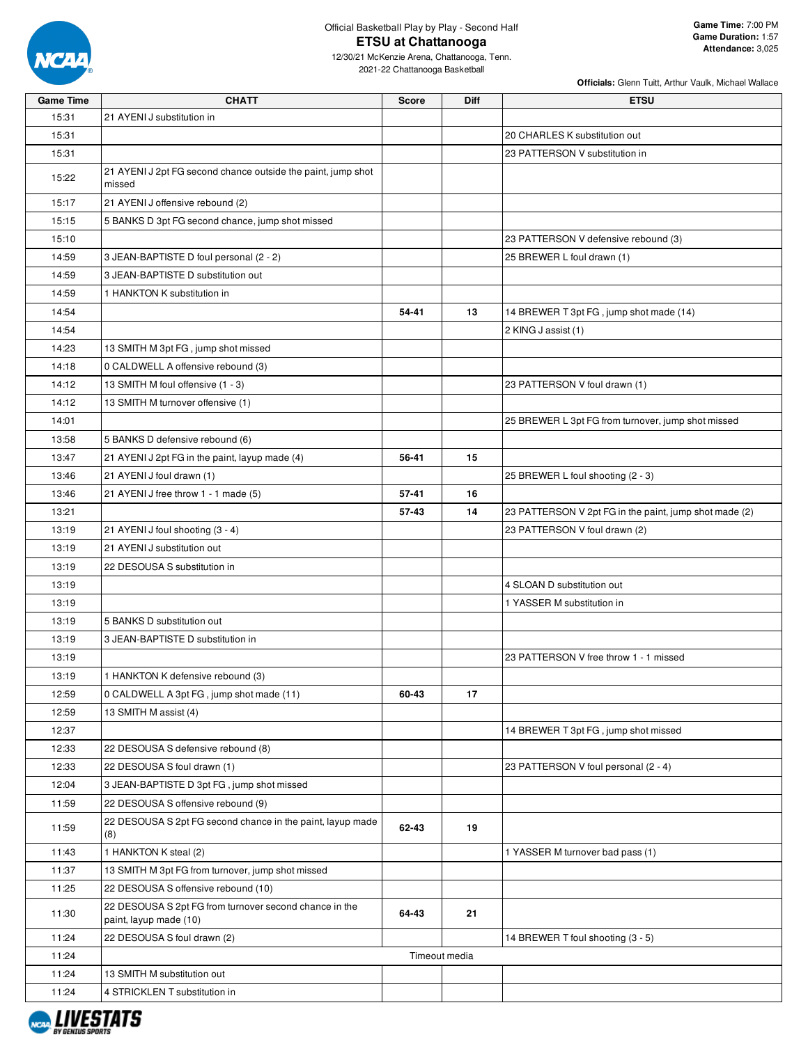

| <b>Game Time</b> | <b>CHATT</b>                                                                     | <b>Score</b> | <b>Diff</b>   | <b>ETSU</b>                                            |
|------------------|----------------------------------------------------------------------------------|--------------|---------------|--------------------------------------------------------|
| 15:31            | 21 AYENI J substitution in                                                       |              |               |                                                        |
| 15:31            |                                                                                  |              |               | 20 CHARLES K substitution out                          |
| 15:31            |                                                                                  |              |               | 23 PATTERSON V substitution in                         |
| 15:22            | 21 AYENI J 2pt FG second chance outside the paint, jump shot<br>missed           |              |               |                                                        |
| 15:17            | 21 AYENI J offensive rebound (2)                                                 |              |               |                                                        |
| 15:15            | 5 BANKS D 3pt FG second chance, jump shot missed                                 |              |               |                                                        |
| 15:10            |                                                                                  |              |               | 23 PATTERSON V defensive rebound (3)                   |
| 14:59            | 3 JEAN-BAPTISTE D foul personal (2 - 2)                                          |              |               | 25 BREWER L foul drawn (1)                             |
| 14:59            | 3 JEAN-BAPTISTE D substitution out                                               |              |               |                                                        |
| 14:59            | 1 HANKTON K substitution in                                                      |              |               |                                                        |
| 14:54            |                                                                                  | 54-41        | 13            | 14 BREWER T 3pt FG, jump shot made (14)                |
| 14:54            |                                                                                  |              |               | 2 KING J assist (1)                                    |
| 14:23            | 13 SMITH M 3pt FG, jump shot missed                                              |              |               |                                                        |
| 14:18            | 0 CALDWELL A offensive rebound (3)                                               |              |               |                                                        |
| 14:12            | 13 SMITH M foul offensive (1 - 3)                                                |              |               | 23 PATTERSON V foul drawn (1)                          |
| 14:12            | 13 SMITH M turnover offensive (1)                                                |              |               |                                                        |
| 14:01            |                                                                                  |              |               | 25 BREWER L 3pt FG from turnover, jump shot missed     |
| 13:58            | 5 BANKS D defensive rebound (6)                                                  |              |               |                                                        |
| 13:47            | 21 AYENI J 2pt FG in the paint, layup made (4)                                   | 56-41        | 15            |                                                        |
| 13:46            | 21 AYENI J foul drawn (1)                                                        |              |               | 25 BREWER L foul shooting (2 - 3)                      |
| 13:46            | 21 AYENI J free throw 1 - 1 made (5)                                             | 57-41        | 16            |                                                        |
| 13:21            |                                                                                  | 57-43        | 14            | 23 PATTERSON V 2pt FG in the paint, jump shot made (2) |
| 13:19            | 21 AYENI J foul shooting (3 - 4)                                                 |              |               | 23 PATTERSON V foul drawn (2)                          |
| 13:19            | 21 AYENI J substitution out                                                      |              |               |                                                        |
| 13:19            | 22 DESOUSA S substitution in                                                     |              |               |                                                        |
| 13:19            |                                                                                  |              |               | 4 SLOAN D substitution out                             |
| 13:19            |                                                                                  |              |               | 1 YASSER M substitution in                             |
| 13:19            | 5 BANKS D substitution out                                                       |              |               |                                                        |
| 13:19            | 3 JEAN-BAPTISTE D substitution in                                                |              |               |                                                        |
| 13:19            |                                                                                  |              |               | 23 PATTERSON V free throw 1 - 1 missed                 |
| 13:19            | 1 HANKTON K defensive rebound (3)                                                |              |               |                                                        |
| 12:59            | 0 CALDWELL A 3pt FG, jump shot made (11)                                         | 60-43        | 17            |                                                        |
| 12:59            | 13 SMITH M assist (4)                                                            |              |               |                                                        |
| 12:37            |                                                                                  |              |               | 14 BREWER T 3pt FG, jump shot missed                   |
| 12:33            | 22 DESOUSA S defensive rebound (8)                                               |              |               |                                                        |
| 12:33            | 22 DESOUSA S foul drawn (1)                                                      |              |               | 23 PATTERSON V foul personal (2 - 4)                   |
| 12:04            | 3 JEAN-BAPTISTE D 3pt FG, jump shot missed                                       |              |               |                                                        |
| 11:59            | 22 DESOUSA S offensive rebound (9)                                               |              |               |                                                        |
| 11:59            | 22 DESOUSA S 2pt FG second chance in the paint, layup made<br>(8)                | 62-43        | 19            |                                                        |
| 11:43            | 1 HANKTON K steal (2)                                                            |              |               | 1 YASSER M turnover bad pass (1)                       |
| 11:37            | 13 SMITH M 3pt FG from turnover, jump shot missed                                |              |               |                                                        |
| 11:25            | 22 DESOUSA S offensive rebound (10)                                              |              |               |                                                        |
| 11:30            | 22 DESOUSA S 2pt FG from turnover second chance in the<br>paint, layup made (10) | 64-43        | 21            |                                                        |
| 11:24            | 22 DESOUSA S foul drawn (2)                                                      |              |               | 14 BREWER T foul shooting (3 - 5)                      |
| 11:24            |                                                                                  |              | Timeout media |                                                        |
| 11:24            | 13 SMITH M substitution out                                                      |              |               |                                                        |
| 11:24            | 4 STRICKLEN T substitution in                                                    |              |               |                                                        |
|                  |                                                                                  |              |               |                                                        |

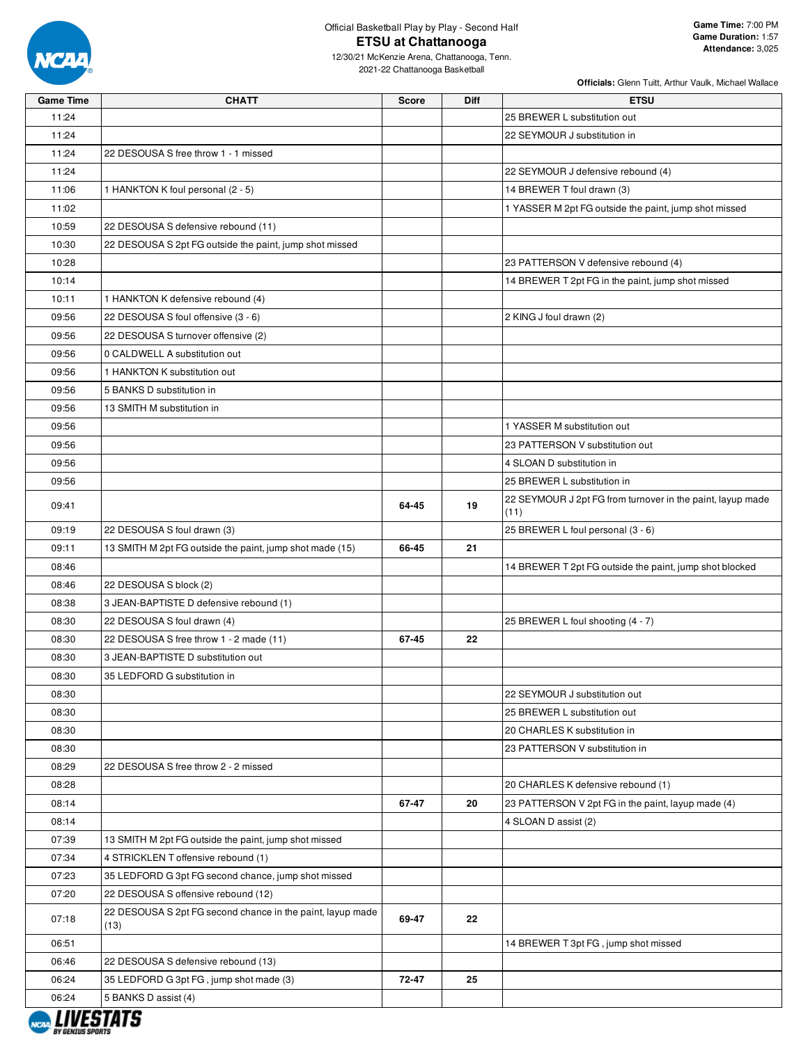

| <b>Game Time</b> | <b>CHATT</b>                                                       | <b>Score</b> | Diff | <b>ETSU</b>                                                        |
|------------------|--------------------------------------------------------------------|--------------|------|--------------------------------------------------------------------|
| 11:24            |                                                                    |              |      | 25 BREWER L substitution out                                       |
| 11:24            |                                                                    |              |      | 22 SEYMOUR J substitution in                                       |
| 11:24            | 22 DESOUSA S free throw 1 - 1 missed                               |              |      |                                                                    |
| 11:24            |                                                                    |              |      | 22 SEYMOUR J defensive rebound (4)                                 |
| 11:06            | 1 HANKTON K foul personal (2 - 5)                                  |              |      | 14 BREWER T foul drawn (3)                                         |
| 11:02            |                                                                    |              |      | 1 YASSER M 2pt FG outside the paint, jump shot missed              |
| 10:59            | 22 DESOUSA S defensive rebound (11)                                |              |      |                                                                    |
| 10:30            | 22 DESOUSA S 2pt FG outside the paint, jump shot missed            |              |      |                                                                    |
| 10:28            |                                                                    |              |      | 23 PATTERSON V defensive rebound (4)                               |
| 10:14            |                                                                    |              |      | 14 BREWER T 2pt FG in the paint, jump shot missed                  |
| 10:11            | 1 HANKTON K defensive rebound (4)                                  |              |      |                                                                    |
| 09:56            | 22 DESOUSA S foul offensive (3 - 6)                                |              |      | 2 KING J foul drawn (2)                                            |
| 09:56            | 22 DESOUSA S turnover offensive (2)                                |              |      |                                                                    |
| 09:56            | 0 CALDWELL A substitution out                                      |              |      |                                                                    |
| 09:56            | 1 HANKTON K substitution out                                       |              |      |                                                                    |
| 09:56            | 5 BANKS D substitution in                                          |              |      |                                                                    |
| 09:56            | 13 SMITH M substitution in                                         |              |      |                                                                    |
| 09:56            |                                                                    |              |      | 1 YASSER M substitution out                                        |
| 09:56            |                                                                    |              |      | 23 PATTERSON V substitution out                                    |
| 09:56            |                                                                    |              |      | 4 SLOAN D substitution in                                          |
| 09:56            |                                                                    |              |      | 25 BREWER L substitution in                                        |
|                  |                                                                    |              |      |                                                                    |
| 09:41            |                                                                    | 64-45        | 19   | 22 SEYMOUR J 2pt FG from turnover in the paint, layup made<br>(11) |
| 09:19            | 22 DESOUSA S foul drawn (3)                                        |              |      | 25 BREWER L foul personal (3 - 6)                                  |
| 09:11            | 13 SMITH M 2pt FG outside the paint, jump shot made (15)           | 66-45        | 21   |                                                                    |
| 08:46            |                                                                    |              |      | 14 BREWER T 2pt FG outside the paint, jump shot blocked            |
| 08:46            | 22 DESOUSA S block (2)                                             |              |      |                                                                    |
| 08:38            | 3 JEAN-BAPTISTE D defensive rebound (1)                            |              |      |                                                                    |
| 08:30            | 22 DESOUSA S foul drawn (4)                                        |              |      | 25 BREWER L foul shooting (4 - 7)                                  |
| 08:30            | 22 DESOUSA S free throw 1 - 2 made (11)                            | 67-45        | 22   |                                                                    |
| 08:30            | 3 JEAN-BAPTISTE D substitution out                                 |              |      |                                                                    |
| 08:30            | 35 LEDFORD G substitution in                                       |              |      |                                                                    |
| 08:30            |                                                                    |              |      | 22 SEYMOUR J substitution out                                      |
| 08:30            |                                                                    |              |      | 25 BREWER L substitution out                                       |
| 08:30            |                                                                    |              |      | 20 CHARLES K substitution in                                       |
| 08:30            |                                                                    |              |      | 23 PATTERSON V substitution in                                     |
| 08:29            | 22 DESOUSA S free throw 2 - 2 missed                               |              |      |                                                                    |
| 08:28            |                                                                    |              |      | 20 CHARLES K defensive rebound (1)                                 |
| 08:14            |                                                                    | 67-47        | 20   | 23 PATTERSON V 2pt FG in the paint, layup made (4)                 |
| 08:14            |                                                                    |              |      | 4 SLOAN D assist (2)                                               |
| 07:39            | 13 SMITH M 2pt FG outside the paint, jump shot missed              |              |      |                                                                    |
| 07:34            | 4 STRICKLEN T offensive rebound (1)                                |              |      |                                                                    |
| 07:23            | 35 LEDFORD G 3pt FG second chance, jump shot missed                |              |      |                                                                    |
| 07:20            | 22 DESOUSA S offensive rebound (12)                                |              |      |                                                                    |
| 07:18            | 22 DESOUSA S 2pt FG second chance in the paint, layup made<br>(13) | 69-47        | 22   |                                                                    |
| 06:51            |                                                                    |              |      | 14 BREWER T 3pt FG, jump shot missed                               |
| 06:46            | 22 DESOUSA S defensive rebound (13)                                |              |      |                                                                    |
| 06:24            | 35 LEDFORD G 3pt FG, jump shot made (3)                            | 72-47        | 25   |                                                                    |
| 06:24            | 5 BANKS D assist (4)                                               |              |      |                                                                    |
|                  |                                                                    |              |      |                                                                    |

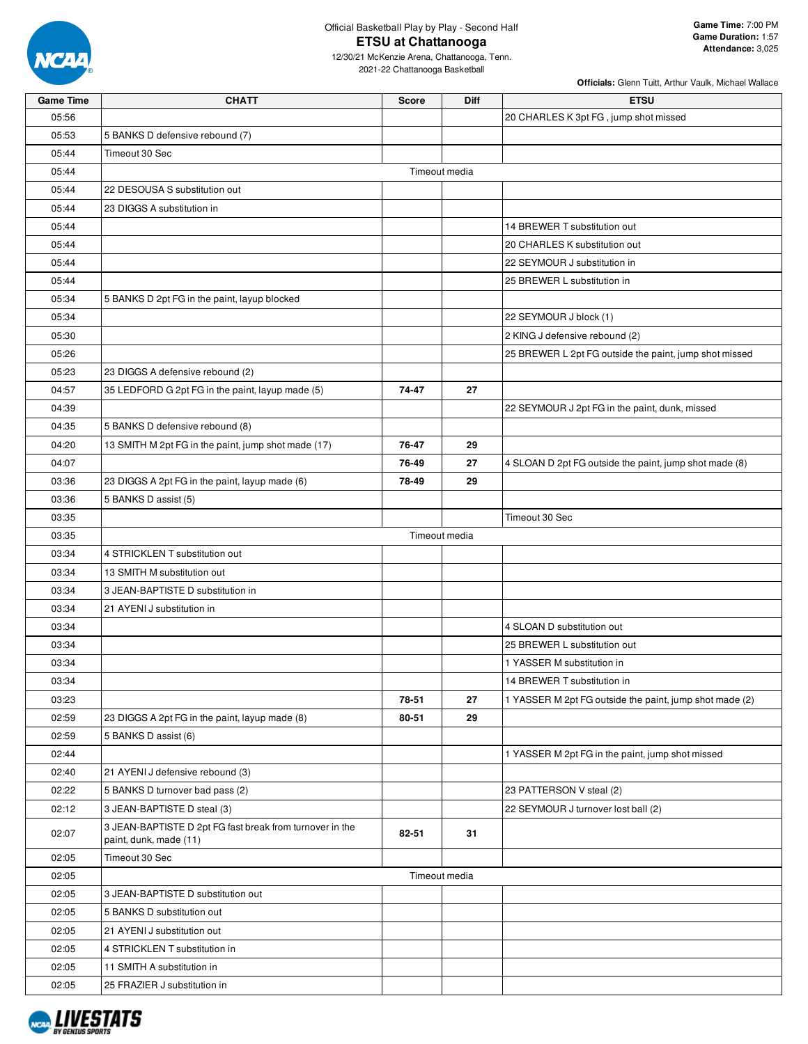

Official Basketball Play by Play - Second Half **ETSU at Chattanooga**

12/30/21 McKenzie Arena, Chattanooga, Tenn. 2021-22 Chattanooga Basketball

| <b>Game Time</b> | <b>CHATT</b>                                                                       | Score | Diff          | <b>ETSU</b>                                             |
|------------------|------------------------------------------------------------------------------------|-------|---------------|---------------------------------------------------------|
| 05:56            |                                                                                    |       |               | 20 CHARLES K 3pt FG, jump shot missed                   |
| 05:53            | 5 BANKS D defensive rebound (7)                                                    |       |               |                                                         |
| 05:44            | Timeout 30 Sec                                                                     |       |               |                                                         |
| 05:44            |                                                                                    |       | Timeout media |                                                         |
| 05:44            | 22 DESOUSA S substitution out                                                      |       |               |                                                         |
| 05:44            | 23 DIGGS A substitution in                                                         |       |               |                                                         |
| 05:44            |                                                                                    |       |               | 14 BREWER T substitution out                            |
| 05:44            |                                                                                    |       |               | 20 CHARLES K substitution out                           |
| 05:44            |                                                                                    |       |               | 22 SEYMOUR J substitution in                            |
| 05:44            |                                                                                    |       |               | 25 BREWER L substitution in                             |
| 05:34            | 5 BANKS D 2pt FG in the paint, layup blocked                                       |       |               |                                                         |
| 05:34            |                                                                                    |       |               | 22 SEYMOUR J block (1)                                  |
| 05:30            |                                                                                    |       |               | 2 KING J defensive rebound (2)                          |
| 05:26            |                                                                                    |       |               | 25 BREWER L 2pt FG outside the paint, jump shot missed  |
| 05:23            | 23 DIGGS A defensive rebound (2)                                                   |       |               |                                                         |
| 04:57            | 35 LEDFORD G 2pt FG in the paint, layup made (5)                                   | 74-47 | 27            |                                                         |
| 04:39            |                                                                                    |       |               | 22 SEYMOUR J 2pt FG in the paint, dunk, missed          |
| 04:35            | 5 BANKS D defensive rebound (8)                                                    |       |               |                                                         |
| 04:20            | 13 SMITH M 2pt FG in the paint, jump shot made (17)                                | 76-47 | 29            |                                                         |
| 04:07            |                                                                                    | 76-49 | 27            | 4 SLOAN D 2pt FG outside the paint, jump shot made (8)  |
| 03:36            | 23 DIGGS A 2pt FG in the paint, layup made (6)                                     | 78-49 | 29            |                                                         |
|                  | 5 BANKS D assist (5)                                                               |       |               |                                                         |
| 03:36            |                                                                                    |       |               |                                                         |
| 03:35            |                                                                                    |       |               | Timeout 30 Sec                                          |
| 03:35            |                                                                                    |       | Timeout media |                                                         |
| 03:34            | 4 STRICKLEN T substitution out                                                     |       |               |                                                         |
| 03:34            | 13 SMITH M substitution out                                                        |       |               |                                                         |
| 03:34            | 3 JEAN-BAPTISTE D substitution in                                                  |       |               |                                                         |
| 03:34            | 21 AYENI J substitution in                                                         |       |               |                                                         |
| 03:34            |                                                                                    |       |               | 4 SLOAN D substitution out                              |
| 03:34            |                                                                                    |       |               | 25 BREWER L substitution out                            |
| 03:34            |                                                                                    |       |               | 1 YASSER M substitution in                              |
| 03:34            |                                                                                    |       |               | 14 BREWER T substitution in                             |
| 03:23            |                                                                                    | 78-51 | 27            | 1 YASSER M 2pt FG outside the paint, jump shot made (2) |
| 02:59            | 23 DIGGS A 2pt FG in the paint, layup made (8)                                     | 80-51 | 29            |                                                         |
| 02:59            | 5 BANKS D assist (6)                                                               |       |               |                                                         |
| 02:44            |                                                                                    |       |               | 1 YASSER M 2pt FG in the paint, jump shot missed        |
| 02:40            | 21 AYENI J defensive rebound (3)                                                   |       |               |                                                         |
| 02:22            | 5 BANKS D turnover bad pass (2)                                                    |       |               | 23 PATTERSON V steal (2)                                |
| 02:12            | 3 JEAN-BAPTISTE D steal (3)                                                        |       |               | 22 SEYMOUR J turnover lost ball (2)                     |
| 02:07            | 3 JEAN-BAPTISTE D 2pt FG fast break from turnover in the<br>paint, dunk, made (11) | 82-51 | 31            |                                                         |
| 02:05            | Timeout 30 Sec                                                                     |       |               |                                                         |
| 02:05            |                                                                                    |       | Timeout media |                                                         |
| 02:05            | 3 JEAN-BAPTISTE D substitution out                                                 |       |               |                                                         |
| 02:05            | 5 BANKS D substitution out                                                         |       |               |                                                         |
| 02:05            | 21 AYENI J substitution out                                                        |       |               |                                                         |
| 02:05            | 4 STRICKLEN T substitution in                                                      |       |               |                                                         |
| 02:05            | 11 SMITH A substitution in                                                         |       |               |                                                         |
| 02:05            | 25 FRAZIER J substitution in                                                       |       |               |                                                         |

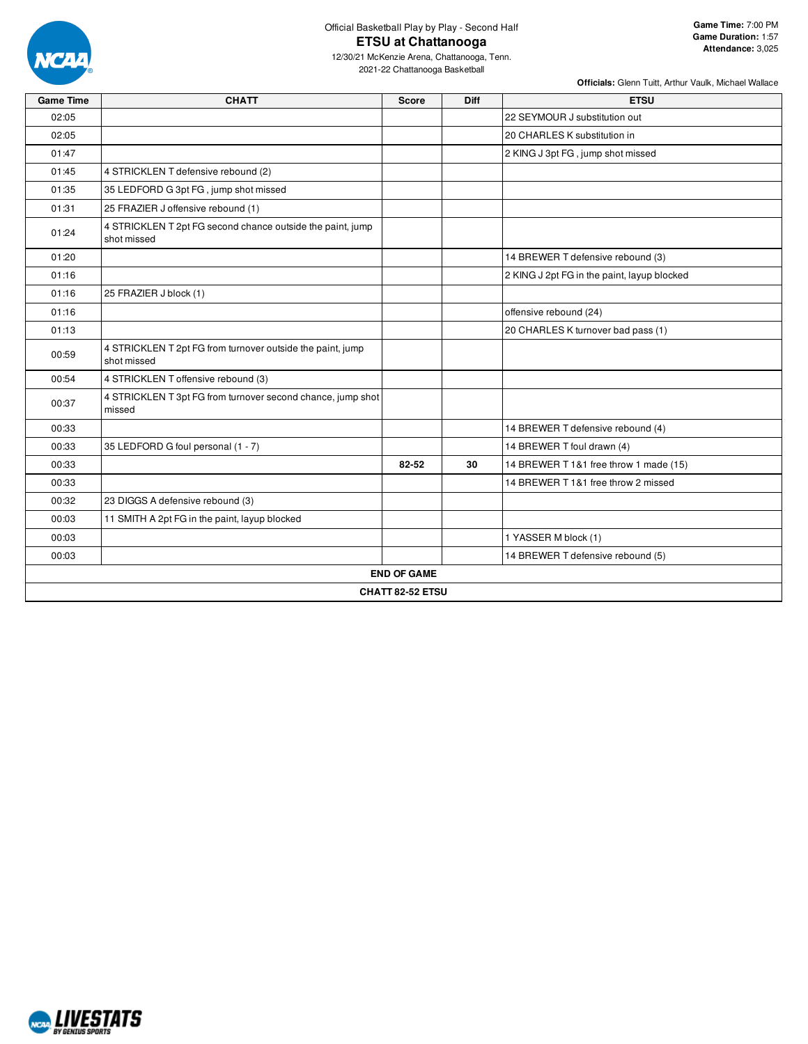

| <b>Game Time</b> | <b>CHATT</b>                                                              | <b>Score</b>       | <b>Diff</b> | <b>ETSU</b>                                 |
|------------------|---------------------------------------------------------------------------|--------------------|-------------|---------------------------------------------|
| 02:05            |                                                                           |                    |             | 22 SEYMOUR J substitution out               |
| 02:05            |                                                                           |                    |             | 20 CHARLES K substitution in                |
| 01:47            |                                                                           |                    |             | 2 KING J 3pt FG, jump shot missed           |
| 01:45            | 4 STRICKLEN T defensive rebound (2)                                       |                    |             |                                             |
| 01:35            | 35 LEDFORD G 3pt FG, jump shot missed                                     |                    |             |                                             |
| 01:31            | 25 FRAZIER J offensive rebound (1)                                        |                    |             |                                             |
| 01:24            | 4 STRICKLEN T 2pt FG second chance outside the paint, jump<br>shot missed |                    |             |                                             |
| 01:20            |                                                                           |                    |             | 14 BREWER T defensive rebound (3)           |
| 01:16            |                                                                           |                    |             | 2 KING J 2pt FG in the paint, layup blocked |
| 01:16            | 25 FRAZIER J block (1)                                                    |                    |             |                                             |
| 01:16            |                                                                           |                    |             | offensive rebound (24)                      |
| 01:13            |                                                                           |                    |             | 20 CHARLES K turnover bad pass (1)          |
| 00:59            | 4 STRICKLEN T 2pt FG from turnover outside the paint, jump<br>shot missed |                    |             |                                             |
| 00:54            | 4 STRICKLEN T offensive rebound (3)                                       |                    |             |                                             |
| 00:37            | 4 STRICKLEN T 3pt FG from turnover second chance, jump shot<br>missed     |                    |             |                                             |
| 00:33            |                                                                           |                    |             | 14 BREWER T defensive rebound (4)           |
| 00:33            | 35 LEDFORD G foul personal (1 - 7)                                        |                    |             | 14 BREWER T foul drawn (4)                  |
| 00:33            |                                                                           | 82-52              | 30          | 14 BREWER T 1&1 free throw 1 made (15)      |
| 00:33            |                                                                           |                    |             | 14 BREWER T 1&1 free throw 2 missed         |
| 00:32            | 23 DIGGS A defensive rebound (3)                                          |                    |             |                                             |
| 00:03            | 11 SMITH A 2pt FG in the paint, layup blocked                             |                    |             |                                             |
| 00:03            |                                                                           |                    |             | 1 YASSER M block (1)                        |
| 00:03            |                                                                           |                    |             | 14 BREWER T defensive rebound (5)           |
|                  |                                                                           | <b>END OF GAME</b> |             |                                             |
|                  |                                                                           | CHATT 82-52 ETSU   |             |                                             |
|                  |                                                                           |                    |             |                                             |

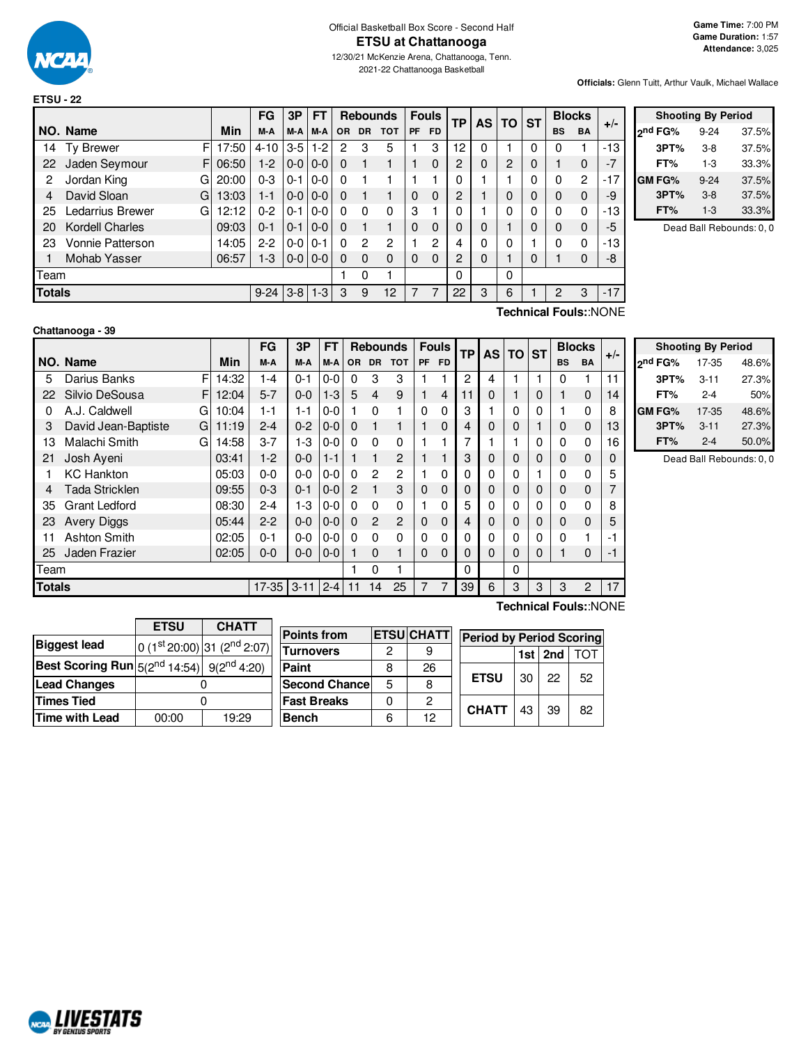

2021-22 Chattanooga Basketball

**Officials:** Glenn Tuitt, Arthur Vaulk, Michael Wallace

|               |                         |       | <b>FG</b> | 3P      | FТ      |           | <b>Rebounds</b> |            |           | <b>Fouls</b> | <b>TP</b>      | <b>AS</b>    | <b>TO</b> | <b>ST</b> |                | <b>Blocks</b>  | $+/-$ |
|---------------|-------------------------|-------|-----------|---------|---------|-----------|-----------------|------------|-----------|--------------|----------------|--------------|-----------|-----------|----------------|----------------|-------|
|               | NO. Name                | Min   | M-A       | M-A     | M-A     | <b>OR</b> | <b>DR</b>       | <b>TOT</b> | <b>PF</b> | <b>FD</b>    |                |              |           |           | <b>BS</b>      | <b>BA</b>      |       |
| 14            | F<br><b>Ty Brewer</b>   | 17:50 | $4 - 10$  | $3-5$   | 1-2     | 2         | 3               | 5          |           | 3            | 12             | 0            |           | 0         | 0              |                | $-13$ |
| 22            | Jaden Seymour<br>F      | 06:50 | $1-2$     | $0 - 0$ | $0-0$   | 0         |                 |            |           | $\mathbf{0}$ | $\mathcal{P}$  | $\Omega$     | 2         | $\Omega$  |                | $\Omega$       | $-7$  |
| 2             | Jordan King<br>G        | 20:00 | $0 - 3$   | $0 - 1$ | $0-0$   | 0         |                 |            |           |              | 0              |              |           | 0         | 0              | $\overline{2}$ | $-17$ |
| 4             | David Sloan<br>G        | 13:03 | $1 - 1$   | $0 - 0$ | $0-0$   | 0         |                 |            | $\Omega$  | $\Omega$     | $\overline{c}$ |              | 0         | $\Omega$  | $\Omega$       | $\Omega$       | -9    |
| 25            | Ledarrius Brewer<br>G   | 12:12 | $0 - 2$   | $0 - 1$ | $0-0$   | 0         | 0               | $\Omega$   | 3         |              | 0              |              | 0         | 0         | 0              | 0              | -13   |
| 20            | <b>Kordell Charles</b>  | 09:03 | $0 - 1$   | $0 - 1$ | $0 - 0$ | $\Omega$  |                 | 1          | $\Omega$  | $\Omega$     | $\Omega$       | $\Omega$     | ٠         | 0         | $\Omega$       | 0              | -5    |
| 23            | <b>Vonnie Patterson</b> | 14:05 | $2 - 2$   | $0 - 0$ | $0 - 1$ | 0         | 2               | 2          |           | 2            | 4              | $\mathbf{0}$ | 0         |           | $\Omega$       | 0              | -13   |
|               | Mohab Yasser            | 06:57 | 1-3       | $0-0$   | $0 - 0$ | 0         | 0               | $\Omega$   | $\Omega$  | $\Omega$     | $\overline{c}$ | $\mathbf 0$  |           | 0         |                | 0              | -8    |
| Team          |                         |       |           |         |         |           | 0               |            |           |              | 0              |              | 0         |           |                |                |       |
| <b>Totals</b> |                         |       | $9 - 24$  | $3 - 8$ | $1 - 3$ | 3         | 9               | 12         |           | 7            | 22             | 3            | 6         |           | $\mathfrak{p}$ | 3              | $-17$ |

|               | <b>Shooting By Period</b> |       |
|---------------|---------------------------|-------|
| ond FG%       | $9 - 24$                  | 37.5% |
| 3PT%          | $3-8$                     | 37.5% |
| FT%           | 1-3                       | 33.3% |
| <b>GM FG%</b> | $9 - 24$                  | 37.5% |
| 3PT%          | $3 - 8$                   | 37.5% |
| FT%           | $1 - 3$                   | 33.3% |

Dead Ball Rebounds: 0, 0

# **Chattanooga - 39**

**Technical Fouls:**:NONE

|               |                          |       | FG      | 3Р       | FT      |                |                | <b>Rebounds</b> | <b>Fouls</b> |           | <b>TP</b> | <b>AS</b> | $TO$ ST |   |           | <b>Blocks</b>  | $+/-$ |
|---------------|--------------------------|-------|---------|----------|---------|----------------|----------------|-----------------|--------------|-----------|-----------|-----------|---------|---|-----------|----------------|-------|
|               | NO. Name                 | Min   | M-A     | M-A      | M-A     | <b>OR</b>      | <b>DR</b>      | <b>TOT</b>      | <b>PF</b>    | <b>FD</b> |           |           |         |   | <b>BS</b> | <b>BA</b>      |       |
| 5             | F<br>Darius Banks        | 14:32 | $1 - 4$ | $0 - 1$  | $0-0$   | $\Omega$       | 3              | 3               |              |           | 2         | 4         |         |   | 0         |                | 11    |
| 22            | Silvio DeSousa<br>F      | 12:04 | $5 - 7$ | $0 - 0$  | $1-3$   | 5              | $\overline{4}$ | 9               |              | 4         |           | 0         |         | 0 |           | $\mathbf 0$    | 14    |
| 0             | A.J. Caldwell<br>G       | 10:04 | 1-1     | 1-1      | $0-0$   |                | $\Omega$       |                 | 0            | 0         | 3         |           | 0       | 0 |           | 0              | 8     |
| 3             | David Jean-Baptiste<br>G | 11:19 | $2 - 4$ | $0 - 2$  | $0-0$   | $\Omega$       |                | 1               |              | 0         | 4         | 0         | 0       |   | 0         | $\mathbf 0$    | 13    |
| 13            | Malachi Smith<br>G       | 14:58 | $3 - 7$ | $1-3$    | $0-0$   | $\Omega$       | 0              | $\mathbf 0$     |              |           |           |           |         | 0 | 0         | 0              | 16    |
| 21            | Josh Ayeni               | 03:41 | $1-2$   | $0-0$    | $1 - 1$ |                |                | 2               |              |           | 3         | 0         | 0       | 0 | 0         | 0              | 0     |
|               | <b>KC</b> Hankton        | 05:03 | $0-0$   | $0-0$    | $0-0$   | $\Omega$       | 2              | $\overline{2}$  |              | 0         | 0         | 0         | 0       |   | 0         | 0              | 5     |
| 4             | Tada Stricklen           | 09:55 | $0 - 3$ | $0 - 1$  | $0-0$   | $\overline{2}$ |                | 3               | $\Omega$     | $\Omega$  | 0         | 0         | 0       | 0 | 0         | $\mathbf 0$    |       |
| 35            | <b>Grant Ledford</b>     | 08:30 | $2 - 4$ | $1-3$    | $0-0$   | $\Omega$       | 0              | $\Omega$        |              | 0         | 5         | 0         | 0       | 0 | O         | 0              | 8     |
| 23            | <b>Avery Diggs</b>       | 05:44 | $2-2$   | $0-0$    | $0-0$   | $\Omega$       | $\overline{2}$ | $\overline{2}$  | $\Omega$     | 0         | 4         | 0         | 0       | 0 | 0         | 0              | 5     |
| 11            | <b>Ashton Smith</b>      | 02:05 | 0-1     | $0-0$    | $0-0$   | $\Omega$       | $\mathbf 0$    | $\Omega$        | $\Omega$     | 0         | 0         | $\Omega$  | 0       | 0 | 0         | 1              |       |
| 25            | Jaden Frazier            | 02:05 | $0-0$   | $0-0$    | $0-0$   |                | $\Omega$       | 1               | $\Omega$     | $\Omega$  | 0         | $\Omega$  | 0       | 0 |           | 0              | -1    |
| Team          |                          |       |         |          |         |                | 0              | 1               |              |           | $\Omega$  |           | 0       |   |           |                |       |
| <b>Totals</b> |                          |       | $17-35$ | $3 - 11$ | $2 - 4$ | 11             | 14             | 25              | 7            | 7         | 39        | 6         | 3       | 3 | 3         | $\overline{2}$ | 17    |

|                     | <b>Shooting By Period</b> |       |  |  |  |  |  |  |  |  |  |  |
|---------------------|---------------------------|-------|--|--|--|--|--|--|--|--|--|--|
| 2 <sup>nd</sup> FG% | 17-35                     | 48.6% |  |  |  |  |  |  |  |  |  |  |
| 3PT%                | $3 - 11$                  | 27.3% |  |  |  |  |  |  |  |  |  |  |
| FT%                 | $2 - 4$                   | 50%   |  |  |  |  |  |  |  |  |  |  |
| <b>GMFG%</b>        | 17-35                     | 48.6% |  |  |  |  |  |  |  |  |  |  |
| 3PT%                | $3 - 11$                  | 27.3% |  |  |  |  |  |  |  |  |  |  |
| FT%                 | $2 - 4$                   | 50.0% |  |  |  |  |  |  |  |  |  |  |

Dead Ball Rebounds: 0, 0

|                       | <b>ETSU</b>                                                       | <b>CHATT</b>                    |  |  |  |  |  |
|-----------------------|-------------------------------------------------------------------|---------------------------------|--|--|--|--|--|
| <b>Biggest lead</b>   |                                                                   | 0 $(1st 20:00)$ 31 $(2nd 2:07)$ |  |  |  |  |  |
|                       | <b>Best Scoring Run</b> $5(2^{nd} 14:54)$ 9(2 <sup>nd</sup> 4:20) |                                 |  |  |  |  |  |
| <b>Lead Changes</b>   |                                                                   |                                 |  |  |  |  |  |
| <b>Times Tied</b>     |                                                                   |                                 |  |  |  |  |  |
| <b>Time with Lead</b> | 00:00                                                             | 19:29                           |  |  |  |  |  |

| <b>Points from</b>    |   | <b>ETSUCHATT</b> | <b>Period by Period Scoring</b> |    |             |    |  |  |  |  |  |
|-----------------------|---|------------------|---------------------------------|----|-------------|----|--|--|--|--|--|
| <b>Turnovers</b>      | 2 |                  |                                 |    | $1st$   2nd |    |  |  |  |  |  |
| Paint                 | 8 | 26               |                                 |    |             |    |  |  |  |  |  |
| <b>Second Chancel</b> | 5 | 8                | <b>ETSU</b>                     | 30 | 22          | 52 |  |  |  |  |  |
| <b>Fast Breaks</b>    |   | 2                | <b>CHATT</b>                    |    |             |    |  |  |  |  |  |
| <b>Bench</b>          |   | 12               |                                 | 43 | 39          | 82 |  |  |  |  |  |

#### **Technical Fouls:**:NONE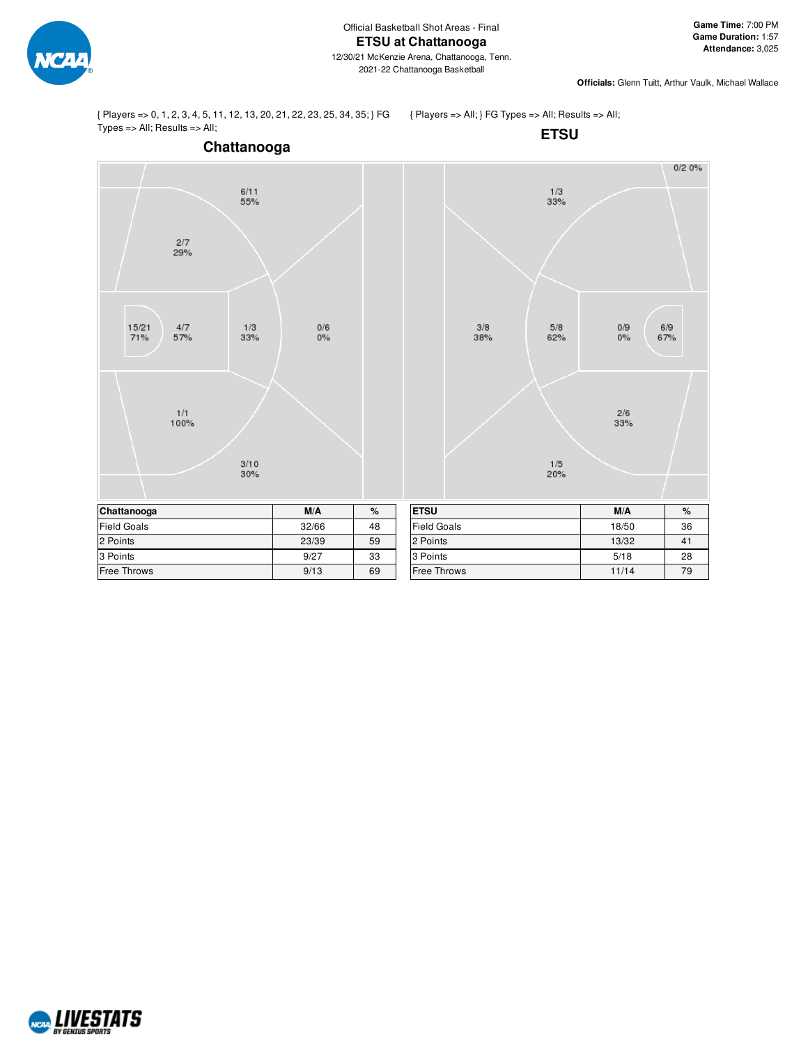

 $0/20%$ 

 $0/9$ 

 $0\%$ 

 $\frac{2/6}{33%}$ 

 $6/9$ 

67%

{ Players => 0, 1, 2, 3, 4, 5, 11, 12, 13, 20, 21, 22, 23, 25, 34, 35; } FG Types => All; Results => All;

{ Players => All; } FG Types => All; Results => All;



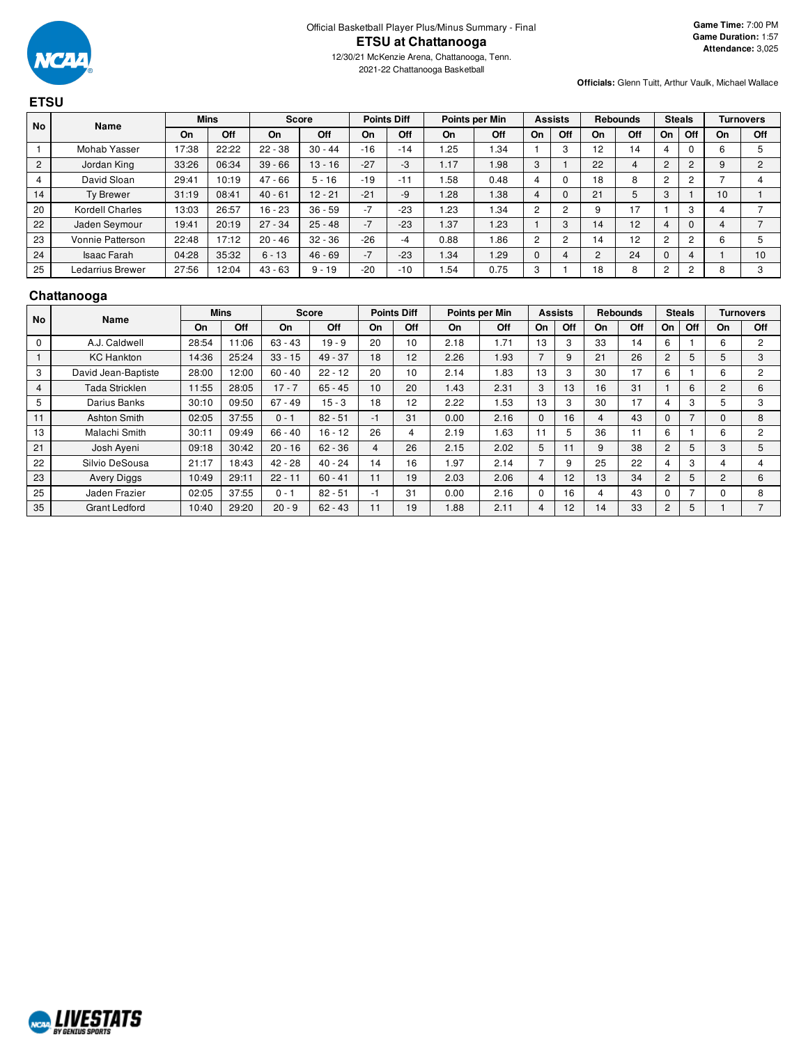

2021-22 Chattanooga Basketball

**Officials:** Glenn Tuitt, Arthur Vaulk, Michael Wallace

#### **ETSU No Name Mins Score Points Diff Points per Min Assists Rebounds Steals Turnovers On Off On Off On Off On Off On Off On Off On Off On Off** 1 | Mohab Yasser | 17:38 | 22:22 | 22 - 38 | 30 - 44 | -16 | -14 | 1.25 | 1.34 | 1 | 3 | 12 | 14 | 4 | 0 | 6 | 5 2 | Jordan King | 33:26 | 06:34 | 39 - 66 | 13 - 16 | -27 | -3 | 1.17 | 1.98 | 3 | 1 | 22 | 4 | 2 | 2 | 9 | 2 4 | David Sloan | 29:41 | 10:19 | 47 - 66 | 5 - 16 | -19 | -11 | 1.58 | 0.48 | 4 | 0 | 18 | 8 | 2 | 2 | 7 | 4 14 | Ty Brewer | 31:19 | 08:41 | 40 - 61 | 12 - 21 | -21 | -9 | 1.28 | 1.38 | 4 | 0 | 21 | 5 | 3 | 1 | 10 | 1 20 | Kordell Charles | 13:03 | 26:57 | 16 - 23 | 36 - 59 | -7 | -23 | 1.23 | 1.34 | 2 | 2 | 9 | 17 | 1 | 3 | 4 | 7 22 | Jaden Seymour | 19:41 | 20:19 | 27 - 34 | 25 - 48 | -7 | -23 | 1.37 | 1.23 | 1 | 3 | 14 | 12 | 4 | 0 | 4 | 7 23 | Vonnie Patterson | 22:48 | 17:12 | 20 - 46 | 32 - 36 | -26 | -4 | 0.88 | 1.86 | 2 | 2 | 14 | 12 | 2 | 2 | 6 | 5 24 | Isaac Farah | 04:28 | 35:32 | 6-13 | 46-69 | -7 | -23 | 1.34 | 1.29 | 0 | 4 | 2 | 24 | 0 | 4 | 1 | 10 25 | Ledarrius Brewer | 27:56 | 12:04 | 43 - 63 | 9 - 19 | -20 | -10 | 1.54 | 0.75 | 3 | 1 | 18 | 8 | 2 | 2 | 8 | 3

#### **Chattanooga**

| <b>No</b> | Name                 |       | <b>Mins</b> |           | <b>Score</b> |    | <b>Points Diff</b> |      | Points per Min | <b>Assists</b> |     | <b>Rebounds</b> |     | <b>Steals</b>  |     |                | <b>Turnovers</b> |
|-----------|----------------------|-------|-------------|-----------|--------------|----|--------------------|------|----------------|----------------|-----|-----------------|-----|----------------|-----|----------------|------------------|
|           |                      | On    | Off         | On        | Off          | On | Off                | On   | Off            | On             | Off | On              | Off | <b>On</b>      | Off | <b>On</b>      | Off              |
| 0         | A.J. Caldwell        | 28:54 | 1:06        | $63 - 43$ | $19 - 9$     | 20 | 10                 | 2.18 | 1.71           | 13             | 3   | 33              | 14  | 6              |     | 6              | 2                |
|           | <b>KC</b> Hankton    | 14:36 | 25:24       | $33 - 15$ | $49 - 37$    | 18 | 12                 | 2.26 | 1.93           | ⇁              | 9   | 21              | 26  | $\overline{2}$ | 5   | 5              | 3                |
| 3         | David Jean-Baptiste  | 28:00 | 2:00        | $60 - 40$ | $22 - 12$    | 20 | 10                 | 2.14 | .83            | 13             | 3   | 30              | 17  | 6              |     | 6              | 2                |
| 4         | Tada Stricklen       | 11:55 | 28:05       | $17 - 7$  | $65 - 45$    | 10 | 20                 | 1.43 | 2.31           | 3              | 13  | 16              | 31  |                | 6   | $\overline{2}$ | 6                |
| 5         | Darius Banks         | 30:10 | 09:50       | $67 - 49$ | $15 - 3$     | 18 | 12                 | 2.22 | .53            | 13             | 3   | 30              | 17  | 4              | 3   |                | 3                |
| 11        | Ashton Smith         | 02:05 | 37:55       | $0 - 1$   | $82 - 51$    | -1 | 31                 | 0.00 | 2.16           | $\Omega$       | 16  | 4               | 43  | $\Omega$       | 7   | 0              | 8                |
| 13        | Malachi Smith        | 30:11 | 09:49       | $66 - 40$ | $16 - 12$    | 26 | 4                  | 2.19 | .63            | 11             | 5   | 36              | 11  | 6              |     | 6              | $\mathcal{P}$    |
| 21        | Josh Ayeni           | 09:18 | 30:42       | $20 - 16$ | $62 - 36$    | 4  | 26                 | 2.15 | 2.02           | 5              |     | 9               | 38  | $\overline{2}$ | 5   | 3              | 5                |
| 22        | Silvio DeSousa       | 21:17 | 18:43       | $42 - 28$ | $40 - 24$    | 14 | 16                 | 1.97 | 2.14           | ⇁              | 9   | 25              | 22  | 4              | 3   | 4              | 4                |
| 23        | <b>Avery Diggs</b>   | 10:49 | 29:11       | $22 - 11$ | $60 - 41$    | 11 | 19                 | 2.03 | 2.06           | 4              | 12  | 13              | 34  | $\overline{2}$ | 5   | 2              | 6                |
| 25        | Jaden Frazier        | 02:05 | 37:55       | $0 - 1$   | $82 - 51$    | -1 | 31                 | 0.00 | 2.16           | 0              | 16  | 4               | 43  | $\Omega$       | ⇁   | 0              | 8                |
| 35        | <b>Grant Ledford</b> | 10:40 | 29:20       | $20 - 9$  | $62 - 43$    |    | 19                 | 1.88 | 2.11           | 4              | 12  | 14              | 33  | 2              | 5   |                |                  |

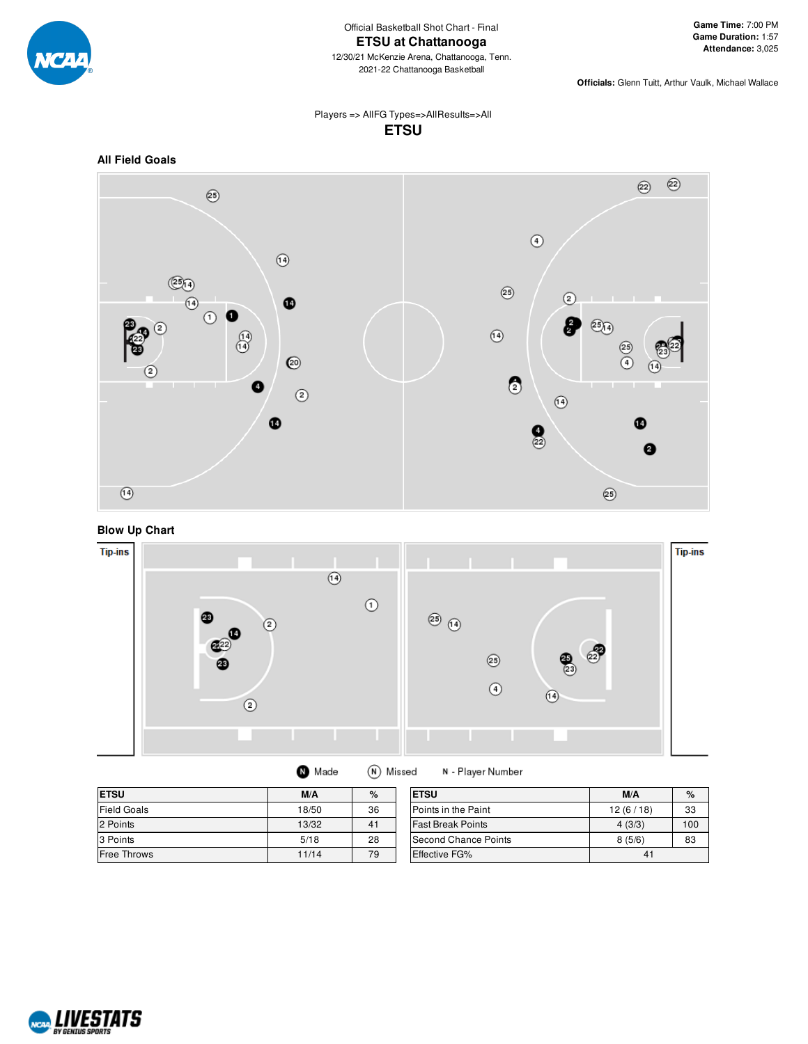

**Officials:** Glenn Tuitt, Arthur Vaulk, Michael Wallace

#### Players => AllFG Types=>AllResults=>All **ETSU**



### **Blow Up Chart**



| <b>ETSU</b>        | M/A   | %  | <b>ETSU</b>                 | M/A      | %   |
|--------------------|-------|----|-----------------------------|----------|-----|
| <b>Field Goals</b> | 18/50 | 36 | Points in the Paint         | 12(6/18) | 33  |
| 2 Points           | 13/32 | 41 | <b>Fast Break Points</b>    | 4(3/3)   | 100 |
| 3 Points           | 5/18  | 28 | <b>Second Chance Points</b> | 8(5/6)   | 83  |
| <b>Free Throws</b> | 11/14 | 79 | Effective FG%               | 41       |     |

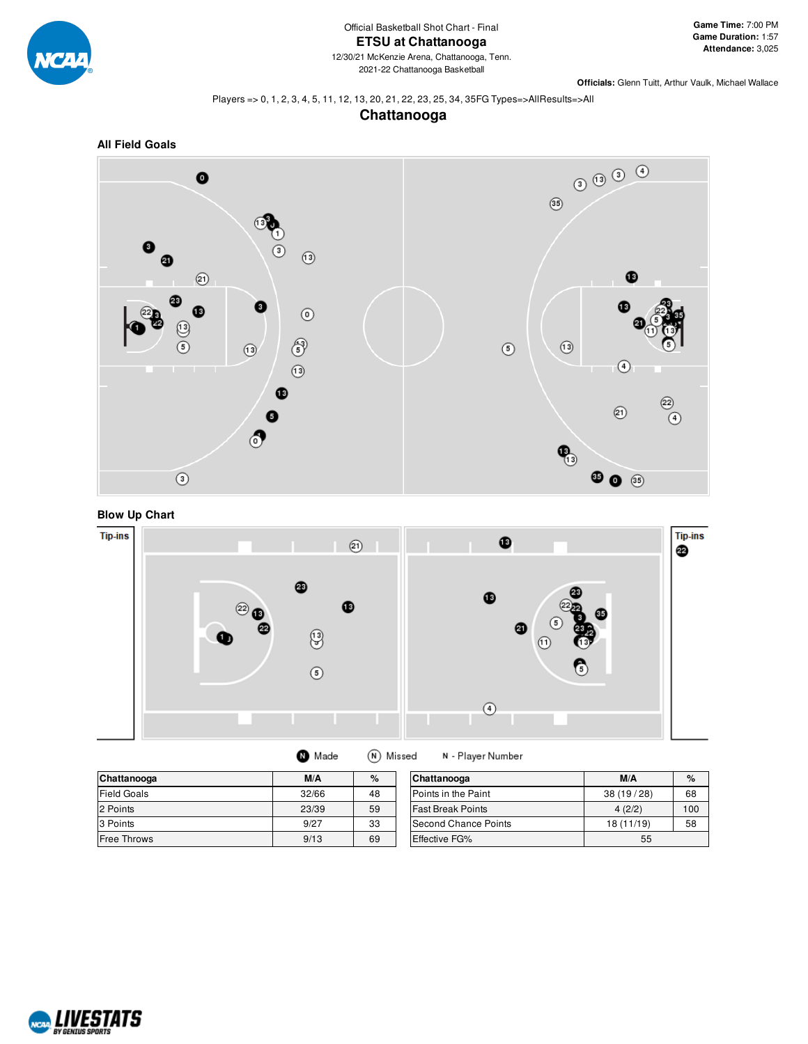

#### Players => 0, 1, 2, 3, 4, 5, 11, 12, 13, 20, 21, 22, 23, 25, 34, 35FG Types=>AllResults=>All

### **Chattanooga**









|  | Made | (N) Missed | N - Play |
|--|------|------------|----------|
|--|------|------------|----------|

| Chattanooga        | M/A   | %  | Chattanooga                 | M/A        | $\%$ |
|--------------------|-------|----|-----------------------------|------------|------|
| <b>Field Goals</b> | 32/66 | 48 | <b>IPoints in the Paint</b> | 38(19/28)  | 68   |
| 2 Points           | 23/39 | 59 | <b>Fast Break Points</b>    | 4(2/2)     | 100  |
| 3 Points           | 9/27  | 33 | Second Chance Points        | 18 (11/19) | 58   |
| Free Throws        | 9/13  | 69 | <b>Effective FG%</b>        | 55         |      |

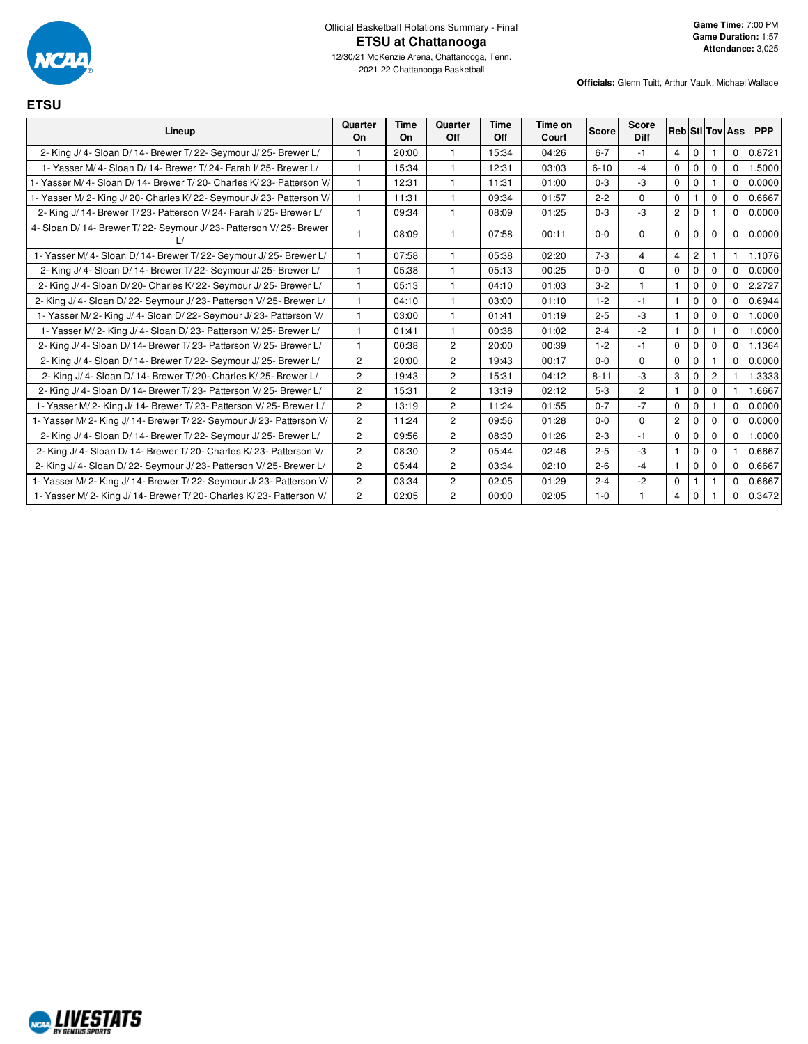

2021-22 Chattanooga Basketball

**Game Time:** 7:00 PM **Game Duration:** 1:57 **Attendance:** 3,025

**ETSU**

| Lineup                                                                 | Quarter<br>On  | Time<br>On | Quarter<br>Off | Time<br>Off | Time on<br>Court | <b>Score</b> | <b>Score</b><br><b>Diff</b> |                |                |                | <b>Reb Sti Tov Ass</b> | <b>PPP</b> |
|------------------------------------------------------------------------|----------------|------------|----------------|-------------|------------------|--------------|-----------------------------|----------------|----------------|----------------|------------------------|------------|
| 2- King J/ 4- Sloan D/ 14- Brewer T/ 22- Seymour J/ 25- Brewer L/      |                | 20:00      | 1              | 15:34       | 04:26            | $6 - 7$      | $-1$                        | $\overline{4}$ | $\mathbf{0}$   |                | $\mathbf 0$            | 0.8721     |
| 1- Yasser M/ 4- Sloan D/ 14- Brewer T/ 24- Farah I/ 25- Brewer L/      | $\mathbf{1}$   | 15:34      | $\mathbf{1}$   | 12:31       | 03:03            | $6 - 10$     | $-4$                        | $\Omega$       | $\Omega$       | $\Omega$       | $\Omega$               | 1.5000     |
| 1- Yasser M/ 4- Sloan D/ 14- Brewer T/ 20- Charles K/ 23- Patterson V/ | $\mathbf{1}$   | 12:31      | 1              | 11:31       | 01:00            | $0 - 3$      | $-3$                        | $\mathbf 0$    | $\mathbf 0$    |                | $\Omega$               | 0.0000     |
| 1- Yasser M/2- King J/20- Charles K/22- Seymour J/23- Patterson V/     |                | 11:31      | 1              | 09:34       | 01:57            | $2 - 2$      | $\mathbf 0$                 | $\mathbf 0$    |                | $\mathbf 0$    | $\mathbf 0$            | 0.6667     |
| 2- King J/ 14- Brewer T/ 23- Patterson V/ 24- Farah I/ 25- Brewer L/   |                | 09:34      | 1              | 08:09       | 01:25            | $0 - 3$      | $-3$                        | $\overline{2}$ | $\Omega$       |                | $\Omega$               | 0.0000     |
| 4- Sloan D/ 14- Brewer T/ 22- Seymour J/ 23- Patterson V/ 25- Brewer   |                | 08:09      | 1              | 07:58       | 00:11            | $0 - 0$      | $\Omega$                    | $\Omega$       | $\Omega$       | $\Omega$       | $\mathbf 0$            | 0.0000     |
| 1- Yasser M/4- Sloan D/14- Brewer T/22- Seymour J/25- Brewer L/        | 1              | 07:58      | 1              | 05:38       | 02:20            | $7-3$        | $\overline{4}$              | $\overline{4}$ | $\overline{2}$ |                |                        | 1.1076     |
| 2- King J/ 4- Sloan D/ 14- Brewer T/ 22- Seymour J/ 25- Brewer L/      |                | 05:38      | 1              | 05:13       | 00:25            | $0 - 0$      | $\mathbf 0$                 | $\mathbf 0$    | $\mathbf 0$    | $\mathbf 0$    | $\Omega$               | 0.0000     |
| 2- King J/ 4- Sloan D/ 20- Charles K/ 22- Seymour J/ 25- Brewer L/     |                | 05:13      | 1              | 04:10       | 01:03            | $3-2$        |                             | $\mathbf{1}$   | $\Omega$       | $\Omega$       | $\Omega$               | 2.2727     |
| 2- King J/ 4- Sloan D/ 22- Seymour J/ 23- Patterson V/ 25- Brewer L/   |                | 04:10      | 1              | 03:00       | 01:10            | $1 - 2$      | $-1$                        | $\mathbf{1}$   | $\mathbf 0$    | $\Omega$       | $\mathbf 0$            | 0.6944     |
| 1- Yasser M/2- King J/4- Sloan D/22- Seymour J/23- Patterson V/        |                | 03:00      | $\mathbf{1}$   | 01:41       | 01:19            | $2 - 5$      | -3                          | $\mathbf{1}$   | $\mathbf 0$    | $\Omega$       | $\mathbf 0$            | 1.0000     |
| 1- Yasser M/2- King J/4- Sloan D/23- Patterson V/25- Brewer L/         |                | 01:41      | $\mathbf{1}$   | 00:38       | 01:02            | $2 - 4$      | $-2$                        | $\mathbf{1}$   | $\mathbf{0}$   |                | $\mathbf 0$            | 1.0000     |
| 2- King J/ 4- Sloan D/ 14- Brewer T/ 23- Patterson V/ 25- Brewer L/    |                | 00:38      | $\overline{2}$ | 20:00       | 00:39            | $1 - 2$      | $-1$                        | $\mathbf 0$    | $\mathbf 0$    | $\mathbf 0$    | $\Omega$               | 1.1364     |
| 2- King J/ 4- Sloan D/ 14- Brewer T/ 22- Seymour J/ 25- Brewer L/      | $\overline{2}$ | 20:00      | $\overline{2}$ | 19:43       | 00:17            | $0 - 0$      | $\Omega$                    | $\mathbf 0$    | $\mathbf{0}$   |                | $\Omega$               | 0.0000     |
| 2- King J/ 4- Sloan D/ 14- Brewer T/ 20- Charles K/ 25- Brewer L/      | $\overline{2}$ | 19:43      | $\overline{c}$ | 15:31       | 04:12            | $8 - 11$     | $-3$                        | 3              | $\mathbf 0$    | $\overline{2}$ |                        | 1.3333     |
| 2- King J/ 4- Sloan D/ 14- Brewer T/ 23- Patterson V/ 25- Brewer L/    | $\overline{2}$ | 15:31      | $\overline{c}$ | 13:19       | 02:12            | $5 - 3$      | $\overline{2}$              | $\mathbf{1}$   | $\mathbf 0$    | 0              |                        | 1.6667     |
| 1- Yasser M/2- King J/14- Brewer T/23- Patterson V/25- Brewer L/       | $\overline{2}$ | 13:19      | $\overline{c}$ | 11:24       | 01:55            | $0 - 7$      | $-7$                        | $\mathbf 0$    | $\Omega$       |                | $\Omega$               | 0.0000     |
| 1- Yasser M/ 2- King J/ 14- Brewer T/ 22- Seymour J/ 23- Patterson V/  | $\overline{2}$ | 11:24      | $\overline{c}$ | 09:56       | 01:28            | $0-0$        | $\mathbf 0$                 | $\overline{2}$ | $\Omega$       | $\Omega$       | $\Omega$               | 0.0000     |
| 2- King J/ 4- Sloan D/ 14- Brewer T/ 22- Seymour J/ 25- Brewer L/      | $\mathbf{2}$   | 09:56      | $\overline{c}$ | 08:30       | 01:26            | $2 - 3$      | $-1$                        | $\mathbf 0$    | $\Omega$       | $\Omega$       | $\Omega$               | 1.0000     |
| 2- King J/ 4- Sloan D/ 14- Brewer T/ 20- Charles K/ 23- Patterson V/   | $\mathbf{2}$   | 08:30      | $\overline{2}$ | 05:44       | 02:46            | $2 - 5$      | -3                          | $\mathbf{1}$   | $\Omega$       | $\Omega$       |                        | 0.6667     |
| 2- King J/4- Sloan D/22- Seymour J/23- Patterson V/25- Brewer L/       | $\overline{c}$ | 05:44      | $\overline{2}$ | 03:34       | 02:10            | $2 - 6$      | $-4$                        | $\mathbf{1}$   | $\mathbf 0$    | $\mathbf 0$    | $\mathbf 0$            | 0.6667     |
| 1- Yasser M/2- King J/14- Brewer T/22- Seymour J/23- Patterson V/      | $\overline{2}$ | 03:34      | $\overline{2}$ | 02:05       | 01:29            | $2 - 4$      | $-2$                        | $\mathbf 0$    |                |                | $\mathbf{0}$           | 0.6667     |
| 1- Yasser M/2- King J/14- Brewer T/20- Charles K/23- Patterson V/      | $\overline{2}$ | 02:05      | $\overline{2}$ | 00:00       | 02:05            | $1 - 0$      |                             | $\overline{4}$ | $\mathbf 0$    |                | $\Omega$               | 0.3472     |

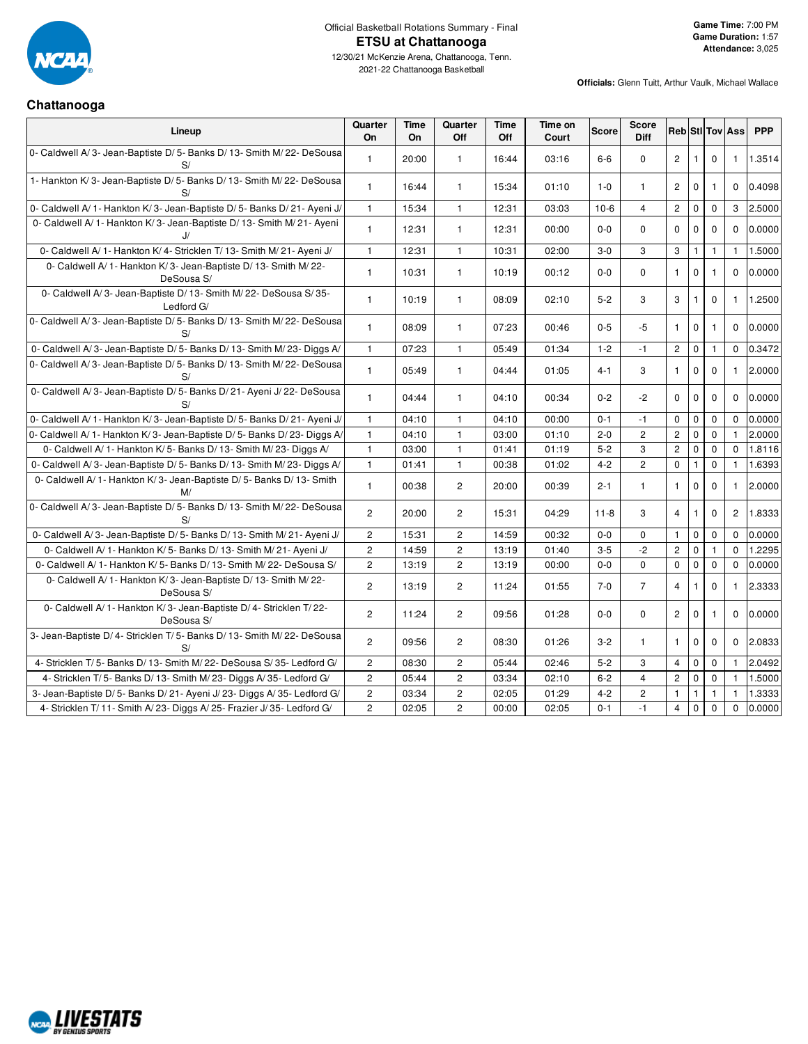

 $\top$ 

#### **Officials:** Glenn Tuitt, Arthur Vaulk, Michael Wallace

 $\top$ 

 $\overline{\phantom{a}}$ 

 $\top$  $\overline{\mathbf{r}}$   $\overline{\phantom{a}}$ 

 $\top$ 

#### **Chattanooga**

| Lineup                                                                             | Quarter<br><b>On</b>  | Time<br><b>On</b> | Quarter<br>Off | Time<br>Off | Time on<br>Court | <b>Score</b> | Score<br><b>Diff</b> | <b>Reb</b> Sti Tov Ass |              |              |                | <b>PPP</b> |
|------------------------------------------------------------------------------------|-----------------------|-------------------|----------------|-------------|------------------|--------------|----------------------|------------------------|--------------|--------------|----------------|------------|
| 0- Caldwell A/3- Jean-Baptiste D/5- Banks D/13- Smith M/22- DeSousa<br>S/          | $\mathbf{1}$          | 20:00             | $\mathbf{1}$   | 16:44       | 03:16            | $6-6$        | $\mathbf 0$          | $\mathbf{2}$           | $\mathbf{1}$ | $\mathbf 0$  | $\mathbf{1}$   | 1.3514     |
| 1- Hankton K/3- Jean-Baptiste D/5- Banks D/13- Smith M/22- DeSousa<br>S/           | $\mathbf{1}$          | 16:44             | $\mathbf{1}$   | 15:34       | 01:10            | $1-0$        | $\mathbf{1}$         | $\overline{c}$         | $\pmb{0}$    | $\mathbf{1}$ | 0              | 0.4098     |
| 0- Caldwell A/ 1- Hankton K/ 3- Jean-Baptiste D/ 5- Banks D/ 21- Ayeni J/          | $\mathbf{1}$          | 15:34             | $\mathbf{1}$   | 12:31       | 03:03            | $10-6$       | $\overline{4}$       | $\overline{2}$         | $\pmb{0}$    | $\mathbf 0$  | 3              | 2.5000     |
| 0- Caldwell A/1- Hankton K/3- Jean-Baptiste D/13- Smith M/21- Ayeni<br>IJ          | $\mathbf{1}$          | 12:31             | $\mathbf{1}$   | 12:31       | 00:00            | $0-0$        | $\Omega$             | $\mathbf 0$            | $\mathbf 0$  | $\mathbf 0$  | $\Omega$       | 0.0000     |
| 0- Caldwell A/ 1- Hankton K/ 4- Stricklen T/ 13- Smith M/ 21- Ayeni J/             | $\mathbf{1}$          | 12:31             | $\mathbf{1}$   | 10:31       | 02:00            | $3-0$        | 3                    | 3                      | $\mathbf{1}$ | $\mathbf{1}$ | 1              | 1.5000     |
| 0- Caldwell A/ 1- Hankton K/ 3- Jean-Baptiste D/ 13- Smith M/ 22-<br>DeSousa S/    | $\mathbf{1}$          | 10:31             | $\mathbf{1}$   | 10:19       | 00:12            | $0-0$        | $\Omega$             | $\mathbf{1}$           | $\mathbf 0$  | $\mathbf{1}$ | $\Omega$       | 0.0000     |
| 0- Caldwell A/3- Jean-Baptiste D/13- Smith M/22- DeSousa S/35-<br>Ledford G/       | $\mathbf{1}$          | 10:19             | $\mathbf{1}$   | 08:09       | 02:10            | $5 - 2$      | 3                    | 3                      | $\mathbf{1}$ | $\Omega$     | $\mathbf{1}$   | 1.2500     |
| 0- Caldwell A/3- Jean-Baptiste D/5- Banks D/13- Smith M/22- DeSousa<br>S/          | $\mathbf{1}$          | 08:09             | $\mathbf{1}$   | 07:23       | 00:46            | $0 - 5$      | $-5$                 | $\mathbf{1}$           | $\mathbf 0$  | $\mathbf{1}$ | 0              | 0.0000     |
| 0- Caldwell A/3- Jean-Baptiste D/5- Banks D/13- Smith M/23- Diggs A/               | $\mathbf{1}$          | 07:23             | $\mathbf{1}$   | 05:49       | 01:34            | $1 - 2$      | $-1$                 | $\overline{2}$         | $\pmb{0}$    | $\mathbf{1}$ | 0              | 0.3472     |
| 0- Caldwell A/3- Jean-Baptiste D/5- Banks D/13- Smith M/22- DeSousa<br>S/          | $\mathbf{1}$          | 05:49             | $\mathbf{1}$   | 04:44       | 01:05            | $4 - 1$      | 3                    | $\mathbf{1}$           | $\mathbf 0$  | $\Omega$     | 1              | 2.0000     |
| 0- Caldwell A/3- Jean-Baptiste D/5- Banks D/21- Ayeni J/22- DeSousa<br>S/          | $\mathbf{1}$          | 04:44             | $\mathbf{1}$   | 04:10       | 00:34            | $0 - 2$      | $-2$                 | $\mathbf 0$            | $\mathbf 0$  | $\mathbf 0$  | 0              | 0.0000     |
| 0- Caldwell A/ 1- Hankton K/ 3- Jean-Baptiste D/ 5- Banks D/ 21- Ayeni J/          | $\mathbf{1}$          | 04:10             | $\mathbf{1}$   | 04:10       | 00:00            | $0 - 1$      | $-1$                 | $\mathbf 0$            | $\pmb{0}$    | $\mathbf 0$  | $\Omega$       | 0.0000     |
| 0- Caldwell A/1- Hankton K/3- Jean-Baptiste D/5- Banks D/23- Diggs A/              | $\mathbf{1}$          | 04:10             | $\mathbf{1}$   | 03:00       | 01:10            | $2 - 0$      | $\overline{c}$       | $\overline{2}$         | $\pmb{0}$    | $\Omega$     | $\mathbf{1}$   | 2.0000     |
| 0- Caldwell A/ 1- Hankton K/ 5- Banks D/ 13- Smith M/ 23- Diggs A/                 | $\mathbf{1}$          | 03:00             | $\mathbf{1}$   | 01:41       | 01:19            | $5 - 2$      | 3                    | $\overline{c}$         | $\mathsf 0$  | $\Omega$     | $\Omega$       | 1.8116     |
| 0- Caldwell A/3- Jean-Baptiste D/5- Banks D/13- Smith M/23- Diggs A/               | $\mathbf{1}$          | 01:41             | $\mathbf{1}$   | 00:38       | 01:02            | $4 - 2$      | $\overline{c}$       | $\mathbf 0$            | $\mathbf{1}$ | 0            | $\mathbf{1}$   | 1.6393     |
| 0- Caldwell A/1- Hankton K/3- Jean-Baptiste D/5- Banks D/13- Smith<br>M/           | $\mathbf{1}$          | 00:38             | $\overline{c}$ | 20:00       | 00:39            | $2 - 1$      | $\mathbf{1}$         | $\mathbf{1}$           | $\mathbf 0$  | $\Omega$     | $\mathbf{1}$   | 2.0000     |
| 0- Caldwell A/3- Jean-Baptiste D/5- Banks D/13- Smith M/22- DeSousa<br>S/          | $\overline{c}$        | 20:00             | $\overline{2}$ | 15:31       | 04:29            | $11 - 8$     | 3                    | $\overline{4}$         | $\mathbf{1}$ | $\Omega$     | $\overline{2}$ | 1.8333     |
| 0- Caldwell A/3- Jean-Baptiste D/5- Banks D/13- Smith M/21- Ayeni J/               | $\overline{c}$        | 15:31             | $\overline{c}$ | 14:59       | 00:32            | $0 - 0$      | $\mathbf 0$          | $\mathbf{1}$           | $\pmb{0}$    | $\mathbf 0$  | 0              | 0.0000     |
| 0- Caldwell A/ 1- Hankton K/ 5- Banks D/ 13- Smith M/ 21- Ayeni J/                 | $\overline{c}$        | 14:59             | $\overline{c}$ | 13:19       | 01:40            | $3 - 5$      | $-2$                 | $\overline{2}$         | $\pmb{0}$    | $\mathbf{1}$ | $\Omega$       | 1.2295     |
| 0- Caldwell A/ 1- Hankton K/ 5- Banks D/ 13- Smith M/ 22- DeSousa S/               | $\overline{c}$        | 13:19             | $\overline{c}$ | 13:19       | 00:00            | $0-0$        | $\mathbf 0$          | $\mathbf 0$            | $\pmb{0}$    | $\mathbf 0$  | $\Omega$       | 0.0000     |
| 0- Caldwell A/ 1- Hankton K/ 3- Jean-Baptiste D/ 13- Smith M/ 22-<br>DeSousa S/    | $\overline{c}$        | 13:19             | $\overline{c}$ | 11:24       | 01:55            | $7 - 0$      | $\overline{7}$       | 4                      | $\mathbf{1}$ | $\mathbf 0$  | $\mathbf{1}$   | 2.3333     |
| 0- Caldwell A/ 1- Hankton K/ 3- Jean-Baptiste D/ 4- Stricklen T/ 22-<br>DeSousa S/ | $\overline{2}$        | 11:24             | $\overline{2}$ | 09:56       | 01:28            | $0-0$        | $\mathbf 0$          | $\overline{2}$         | $\mathbf 0$  | $\mathbf{1}$ | 0              | 0.0000     |
| 3- Jean-Baptiste D/4- Stricklen T/5- Banks D/13- Smith M/22- DeSousa<br>S/         | $\overline{c}$        | 09:56             | $\overline{2}$ | 08:30       | 01:26            | $3 - 2$      | $\mathbf{1}$         | $\mathbf{1}$           | $\mathbf 0$  | $\Omega$     | $\Omega$       | 2.0833     |
| 4- Stricklen T/5- Banks D/13- Smith M/22- DeSousa S/35- Ledford G/                 | $\mathbf{2}^{\prime}$ | 08:30             | $\overline{c}$ | 05:44       | 02:46            | $5-2$        | 3                    | 4                      | $\pmb{0}$    | $\mathbf 0$  | $\mathbf{1}$   | 2.0492     |
| 4- Stricklen T/5- Banks D/13- Smith M/23- Diggs A/35- Ledford G/                   | $\mathbf{2}$          | 05:44             | $\mathbf{2}$   | 03:34       | 02:10            | $6 - 2$      | $\overline{4}$       | $\sqrt{2}$             | $\pmb{0}$    | $\mathbf 0$  | $\mathbf{1}$   | 1.5000     |
| 3- Jean-Baptiste D/5- Banks D/21- Ayeni J/23- Diggs A/35- Ledford G/               | $\overline{c}$        | 03:34             | $\overline{c}$ | 02:05       | 01:29            | $4 - 2$      | $\overline{c}$       | $\mathbf{1}$           | $\mathbf{1}$ | $\mathbf{1}$ | $\mathbf{1}$   | 1.3333     |
| 4- Stricklen T/ 11- Smith A/ 23- Diggs A/ 25- Frazier J/ 35- Ledford G/            | $\overline{c}$        | 02:05             | $\overline{c}$ | 00:00       | 02:05            | $0 - 1$      | $-1$                 | 4                      | $\mathbf 0$  | $\Omega$     | $\mathbf{0}$   | 0.0000     |

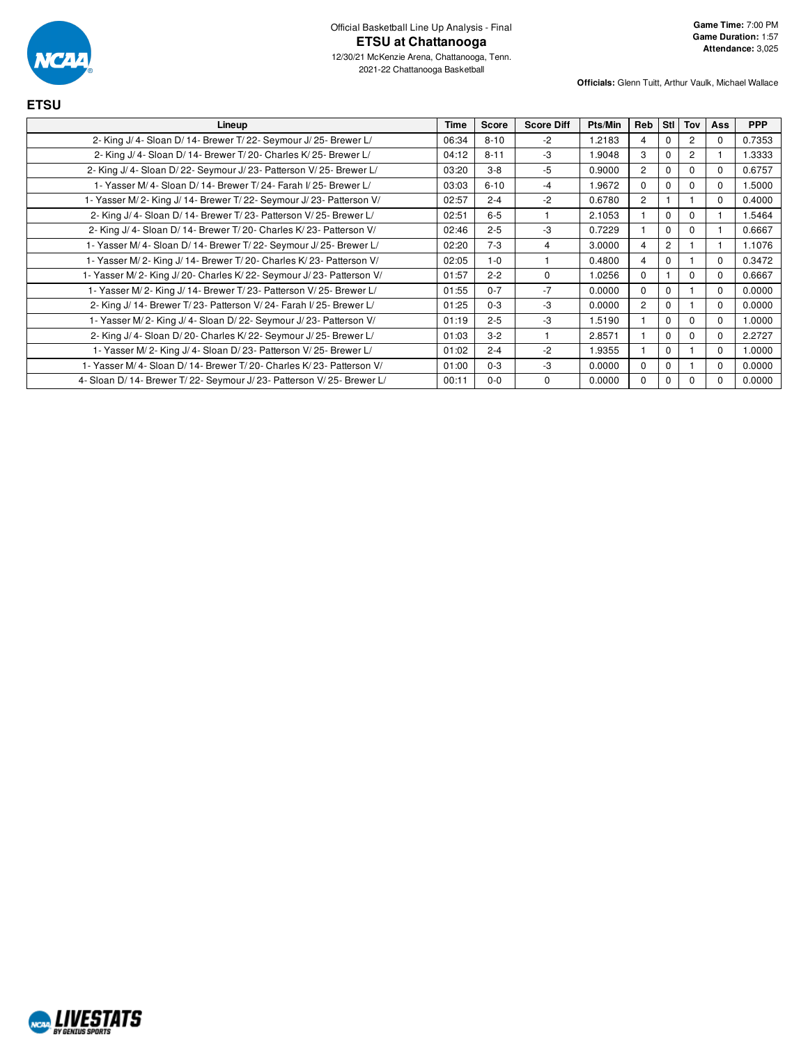

| Lineup                                                               | Time  | <b>Score</b> | <b>Score Diff</b> | Pts/Min | Reb            | Stl            | Tov            | Ass         | <b>PPP</b> |
|----------------------------------------------------------------------|-------|--------------|-------------------|---------|----------------|----------------|----------------|-------------|------------|
| 2- King J/ 4- Sloan D/ 14- Brewer T/ 22- Seymour J/ 25- Brewer L/    | 06:34 | $8 - 10$     | $-2$              | 1.2183  | 4              | $\Omega$       |                | $\Omega$    | 0.7353     |
| 2- King J/4- Sloan D/14- Brewer T/20- Charles K/25- Brewer L/        | 04:12 | $8 - 11$     | -3                | 1.9048  | 3              | $\Omega$       | $\overline{2}$ |             | 1.3333     |
| 2- King J/ 4- Sloan D/ 22- Seymour J/ 23- Patterson V/ 25- Brewer L/ | 03:20 | $3 - 8$      | $-5$              | 0.9000  | $\overline{2}$ | $\mathbf 0$    |                | 0           | 0.6757     |
| 1- Yasser M/ 4- Sloan D/ 14- Brewer T/ 24- Farah I/ 25- Brewer L/    | 03:03 | $6 - 10$     | -4                | 1.9672  | $\Omega$       | $\mathbf 0$    | O              | 0           | 1.5000     |
| 1- Yasser M/2- King J/14- Brewer T/22- Seymour J/23- Patterson V/    | 02:57 | $2 - 4$      | $-2$              | 0.6780  | $\overline{c}$ |                |                | 0           | 0.4000     |
| 2- King J/ 4- Sloan D/ 14- Brewer T/ 23- Patterson V/ 25- Brewer L/  | 02:51 | $6-5$        |                   | 2.1053  |                | $\mathbf 0$    | O              |             | 1.5464     |
| 2- King J/4- Sloan D/14- Brewer T/20- Charles K/23- Patterson V/     | 02:46 | $2 - 5$      | -3                | 0.7229  |                | $\mathbf 0$    | O              |             | 0.6667     |
| 1- Yasser M/4- Sloan D/14- Brewer T/22- Seymour J/25- Brewer L/      | 02:20 | $7-3$        | 4                 | 3.0000  | 4              | $\overline{c}$ |                |             | 1.1076     |
| 1- Yasser M/2- King J/14- Brewer T/20- Charles K/23- Patterson V/    | 02:05 | $1 - 0$      |                   | 0.4800  | 4              | $\mathbf 0$    |                | $\Omega$    | 0.3472     |
| 1- Yasser M/2- King J/20- Charles K/22- Seymour J/23- Patterson V/   | 01:57 | $2 - 2$      | $\Omega$          | 1.0256  | $\Omega$       |                | $\Omega$       | $\Omega$    | 0.6667     |
| 1- Yasser M/2- King J/14- Brewer T/23- Patterson V/25- Brewer L/     | 01:55 | $0 - 7$      | $-7$              | 0.0000  | $\Omega$       | $\mathbf 0$    |                | $\Omega$    | 0.0000     |
| 2- King J/ 14- Brewer T/ 23- Patterson V/ 24- Farah I/ 25- Brewer L/ | 01:25 | $0 - 3$      | -3                | 0.0000  | $\overline{2}$ | $\mathbf 0$    |                | $\mathbf 0$ | 0.0000     |
| 1- Yasser M/2- King J/4- Sloan D/22- Seymour J/23- Patterson V/      | 01:19 | $2 - 5$      | -3                | 1.5190  |                | $\mathbf 0$    | $\Omega$       | $\mathbf 0$ | 1.0000     |
| 2- King J/ 4- Sloan D/ 20- Charles K/ 22- Seymour J/ 25- Brewer L/   | 01:03 | $3-2$        |                   | 2.8571  |                | $\mathbf 0$    | O              | $\Omega$    | 2.2727     |
| 1- Yasser M/2- King J/4- Sloan D/23- Patterson V/25- Brewer L/       | 01:02 | $2 - 4$      | $-2$              | 1.9355  |                | $\mathbf 0$    |                | $\Omega$    | 1.0000     |
| 1- Yasser M/4- Sloan D/14- Brewer T/20- Charles K/23- Patterson V/   | 01:00 | $0 - 3$      | -3                | 0.0000  | $\Omega$       | $\mathbf 0$    |                | $\Omega$    | 0.0000     |
| 4- Sloan D/14- Brewer T/22- Seymour J/23- Patterson V/25- Brewer L/  | 00:11 | $0 - 0$      | $\Omega$          | 0.0000  | $\Omega$       | $\Omega$       |                | $\Omega$    | 0.0000     |